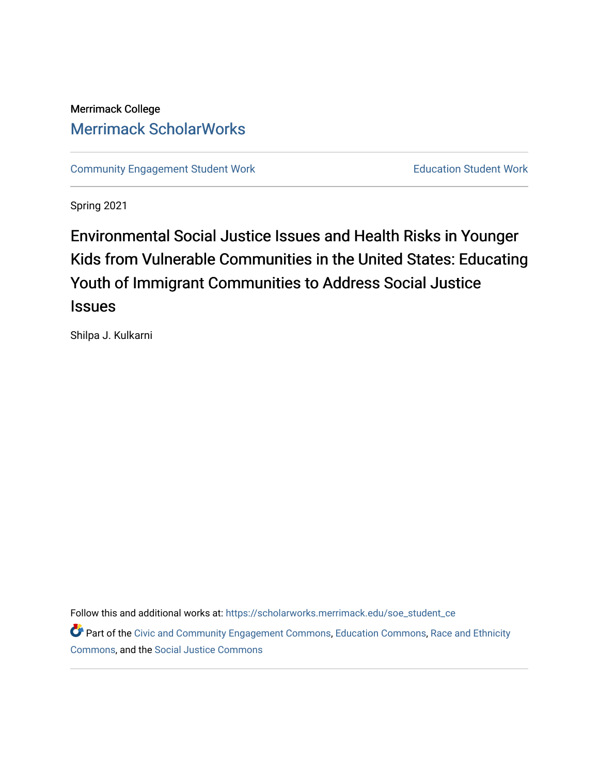# Merrimack College [Merrimack ScholarWorks](https://scholarworks.merrimack.edu/)

[Community Engagement Student Work](https://scholarworks.merrimack.edu/soe_student_ce) **Education Student Work** Education Student Work

Spring 2021

# Environmental Social Justice Issues and Health Risks in Younger Kids from Vulnerable Communities in the United States: Educating Youth of Immigrant Communities to Address Social Justice **Issues**

Shilpa J. Kulkarni

Follow this and additional works at: [https://scholarworks.merrimack.edu/soe\\_student\\_ce](https://scholarworks.merrimack.edu/soe_student_ce?utm_source=scholarworks.merrimack.edu%2Fsoe_student_ce%2F56&utm_medium=PDF&utm_campaign=PDFCoverPages) 

Part of the [Civic and Community Engagement Commons](http://network.bepress.com/hgg/discipline/1028?utm_source=scholarworks.merrimack.edu%2Fsoe_student_ce%2F56&utm_medium=PDF&utm_campaign=PDFCoverPages), [Education Commons,](http://network.bepress.com/hgg/discipline/784?utm_source=scholarworks.merrimack.edu%2Fsoe_student_ce%2F56&utm_medium=PDF&utm_campaign=PDFCoverPages) Race and Ethnicity [Commons](http://network.bepress.com/hgg/discipline/426?utm_source=scholarworks.merrimack.edu%2Fsoe_student_ce%2F56&utm_medium=PDF&utm_campaign=PDFCoverPages), and the [Social Justice Commons](http://network.bepress.com/hgg/discipline/1432?utm_source=scholarworks.merrimack.edu%2Fsoe_student_ce%2F56&utm_medium=PDF&utm_campaign=PDFCoverPages)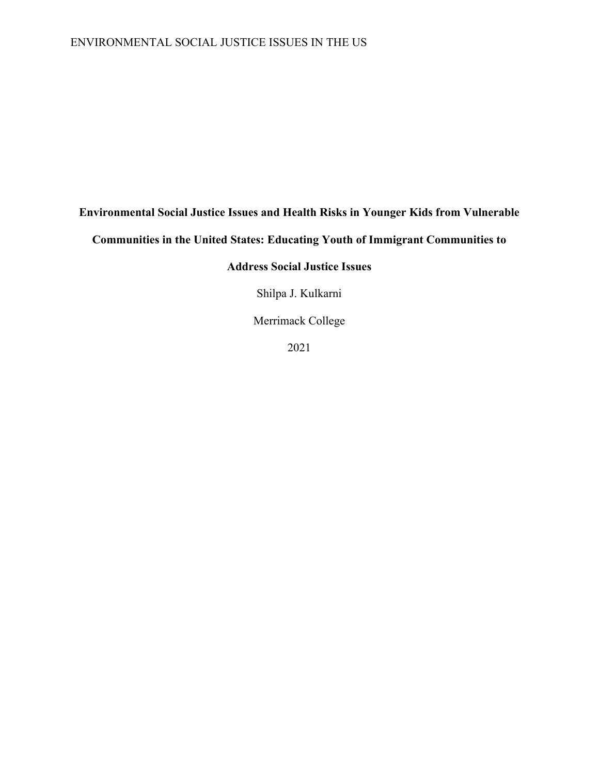# ENVIRONMENTAL SOCIAL JUSTICE ISSUES IN THE US

# **Environmental Social Justice Issues and Health Risks in Younger Kids from Vulnerable**

**Communities in the United States: Educating Youth of Immigrant Communities to** 

# **Address Social Justice Issues**

Shilpa J. Kulkarni

Merrimack College

2021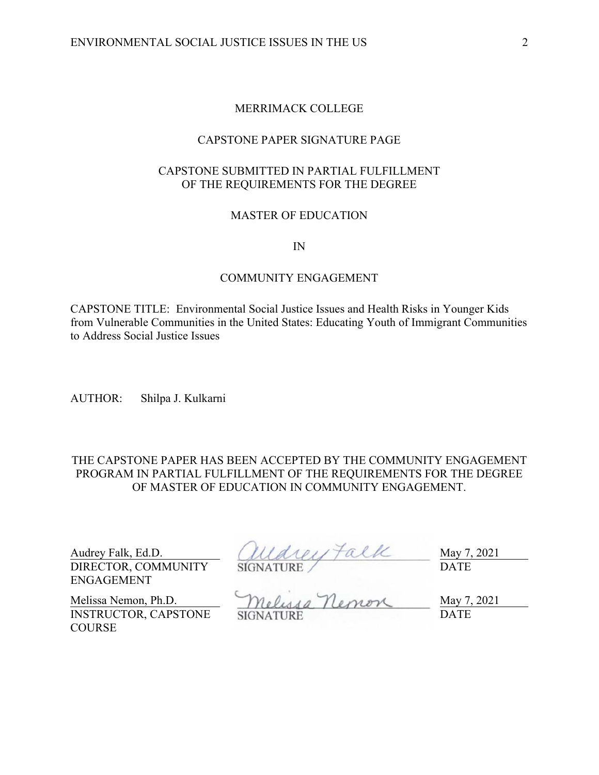# MERRIMACK COLLEGE

# CAPSTONE PAPER SIGNATURE PAGE

# CAPSTONE SUBMITTED IN PARTIAL FULFILLMENT OF THE REQUIREMENTS FOR THE DEGREE

# MASTER OF EDUCATION

IN

#### COMMUNITY ENGAGEMENT

CAPSTONE TITLE: Environmental Social Justice Issues and Health Risks in Younger Kids from Vulnerable Communities in the United States: Educating Youth of Immigrant Communities to Address Social Justice Issues

AUTHOR: Shilpa J. Kulkarni

THE CAPSTONE PAPER HAS BEEN ACCEPTED BY THE COMMUNITY ENGAGEMENT PROGRAM IN PARTIAL FULFILLMENT OF THE REQUIREMENTS FOR THE DEGREE OF MASTER OF EDUCATION IN COMMUNITY ENGAGEMENT.

DIRECTOR, COMMUNITY ENGAGEMENT

Audrey Falk, Ed.D.  $(111a1e1) \uparrow a11c$  May 7, 2021 SIGNATURE DATE

INSTRUCTOR, CAPSTONE **COURSE** 

Melissa Nemon, Ph.D. Melussa Nemon May 7, 2021 SIGNATURE DATE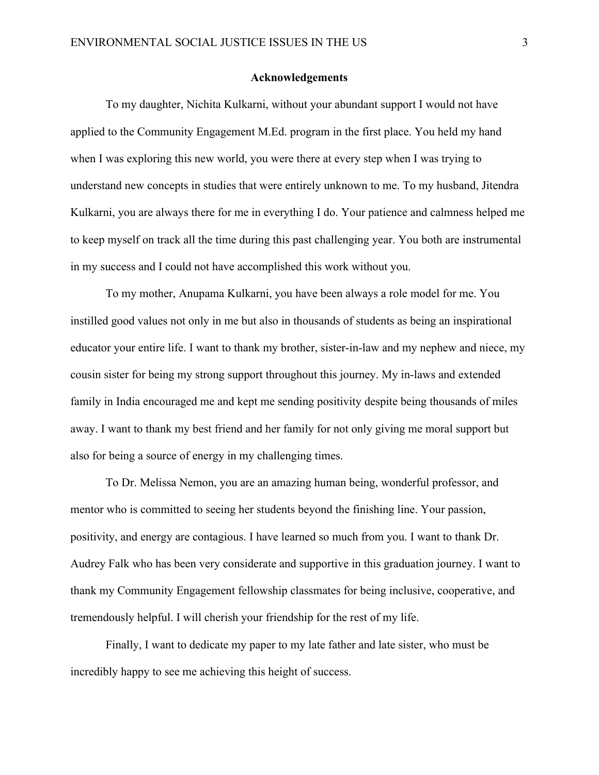#### **Acknowledgements**

 To my daughter, Nichita Kulkarni, without your abundant support I would not have applied to the Community Engagement M.Ed. program in the first place. You held my hand when I was exploring this new world, you were there at every step when I was trying to understand new concepts in studies that were entirely unknown to me. To my husband, Jitendra Kulkarni, you are always there for me in everything I do. Your patience and calmness helped me to keep myself on track all the time during this past challenging year. You both are instrumental in my success and I could not have accomplished this work without you.

To my mother, Anupama Kulkarni, you have been always a role model for me. You instilled good values not only in me but also in thousands of students as being an inspirational educator your entire life. I want to thank my brother, sister-in-law and my nephew and niece, my cousin sister for being my strong support throughout this journey. My in-laws and extended family in India encouraged me and kept me sending positivity despite being thousands of miles away. I want to thank my best friend and her family for not only giving me moral support but also for being a source of energy in my challenging times.

To Dr. Melissa Nemon, you are an amazing human being, wonderful professor, and mentor who is committed to seeing her students beyond the finishing line. Your passion, positivity, and energy are contagious. I have learned so much from you. I want to thank Dr. Audrey Falk who has been very considerate and supportive in this graduation journey. I want to thank my Community Engagement fellowship classmates for being inclusive, cooperative, and tremendously helpful. I will cherish your friendship for the rest of my life.

Finally, I want to dedicate my paper to my late father and late sister, who must be incredibly happy to see me achieving this height of success.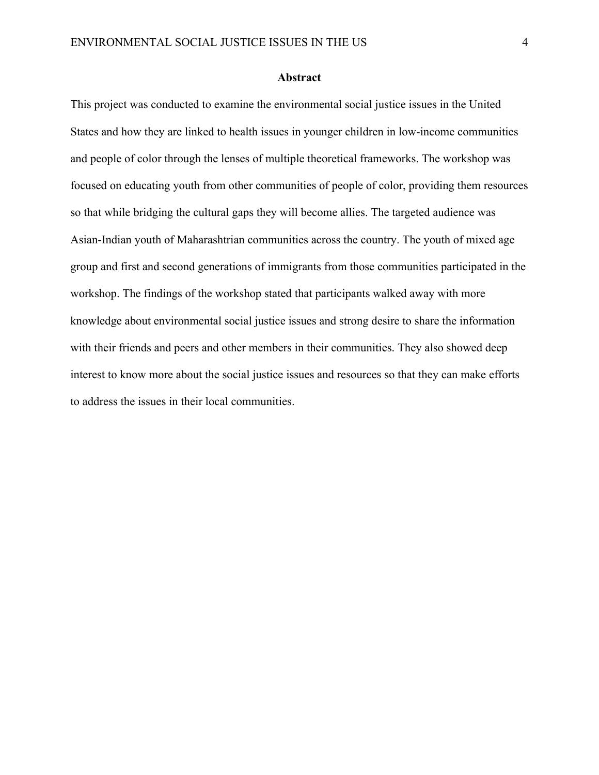#### **Abstract**

This project was conducted to examine the environmental social justice issues in the United States and how they are linked to health issues in younger children in low-income communities and people of color through the lenses of multiple theoretical frameworks. The workshop was focused on educating youth from other communities of people of color, providing them resources so that while bridging the cultural gaps they will become allies. The targeted audience was Asian-Indian youth of Maharashtrian communities across the country. The youth of mixed age group and first and second generations of immigrants from those communities participated in the workshop. The findings of the workshop stated that participants walked away with more knowledge about environmental social justice issues and strong desire to share the information with their friends and peers and other members in their communities. They also showed deep interest to know more about the social justice issues and resources so that they can make efforts to address the issues in their local communities.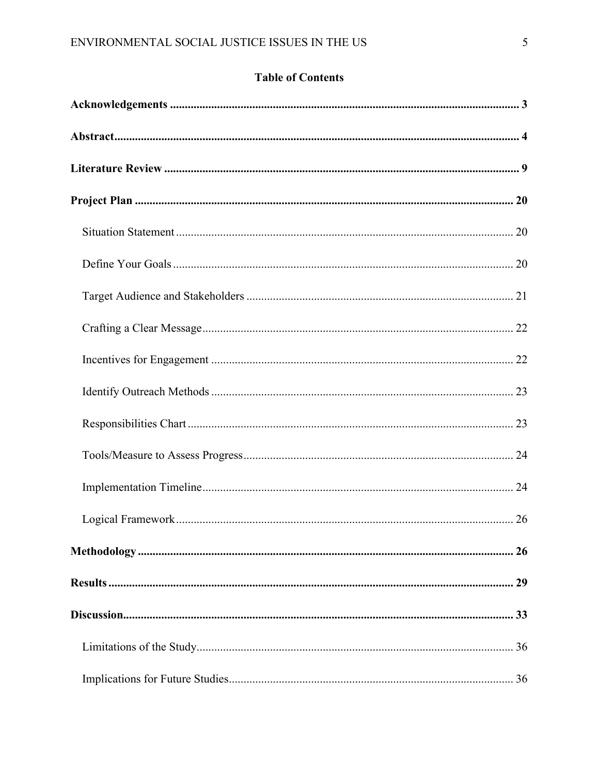# **Table of Contents**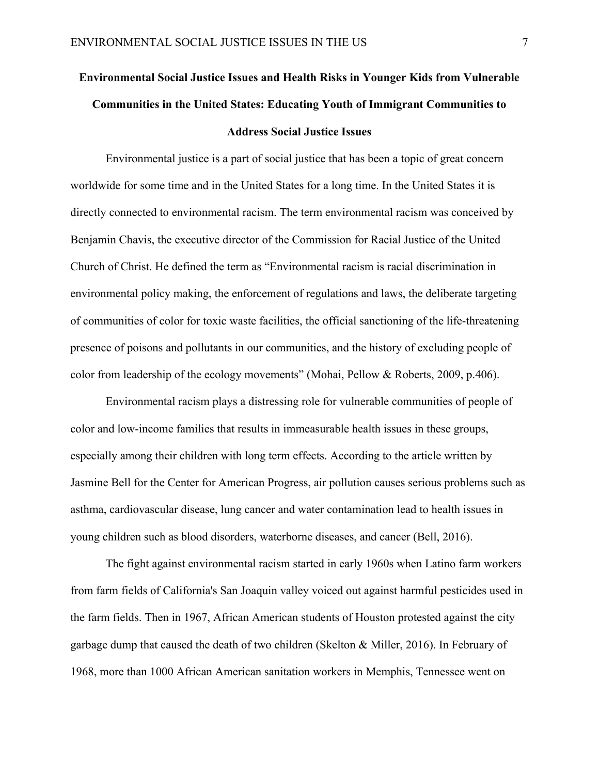# **Environmental Social Justice Issues and Health Risks in Younger Kids from Vulnerable Communities in the United States: Educating Youth of Immigrant Communities to Address Social Justice Issues**

Environmental justice is a part of social justice that has been a topic of great concern worldwide for some time and in the United States for a long time. In the United States it is directly connected to environmental racism. The term environmental racism was conceived by Benjamin Chavis, the executive director of the Commission for Racial Justice of the United Church of Christ. He defined the term as "Environmental racism is racial discrimination in environmental policy making, the enforcement of regulations and laws, the deliberate targeting of communities of color for toxic waste facilities, the official sanctioning of the life-threatening presence of poisons and pollutants in our communities, and the history of excluding people of color from leadership of the ecology movements" (Mohai, Pellow & Roberts, 2009, p.406).

Environmental racism plays a distressing role for vulnerable communities of people of color and low-income families that results in immeasurable health issues in these groups, especially among their children with long term effects. According to the article written by Jasmine Bell for the Center for American Progress, air pollution causes serious problems such as asthma, cardiovascular disease, lung cancer and water contamination lead to health issues in young children such as blood disorders, waterborne diseases, and cancer (Bell, 2016).

The fight against environmental racism started in early 1960s when Latino farm workers from farm fields of California's San Joaquin valley voiced out against harmful pesticides used in the farm fields. Then in 1967, African American students of Houston protested against the city garbage dump that caused the death of two children (Skelton & Miller, 2016). In February of 1968, more than 1000 African American sanitation workers in Memphis, Tennessee went on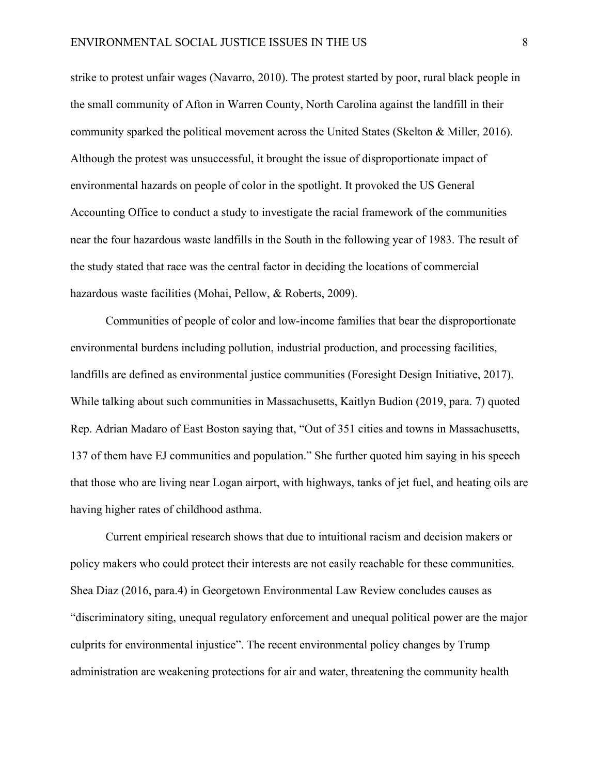strike to protest unfair wages (Navarro, 2010). The protest started by poor, rural black people in the small community of Afton in Warren County, North Carolina against the landfill in their community sparked the political movement across the United States (Skelton & Miller, 2016). Although the protest was unsuccessful, it brought the issue of disproportionate impact of environmental hazards on people of color in the spotlight. It provoked the US General Accounting Office to conduct a study to investigate the racial framework of the communities near the four hazardous waste landfills in the South in the following year of 1983. The result of the study stated that race was the central factor in deciding the locations of commercial hazardous waste facilities (Mohai, Pellow, & Roberts, 2009).

Communities of people of color and low-income families that bear the disproportionate environmental burdens including pollution, industrial production, and processing facilities, landfills are defined as environmental justice communities (Foresight Design Initiative, 2017). While talking about such communities in Massachusetts, Kaitlyn Budion (2019, para. 7) quoted Rep. Adrian Madaro of East Boston saying that, "Out of 351 cities and towns in Massachusetts, 137 of them have EJ communities and population." She further quoted him saying in his speech that those who are living near Logan airport, with highways, tanks of jet fuel, and heating oils are having higher rates of childhood asthma.

Current empirical research shows that due to intuitional racism and decision makers or policy makers who could protect their interests are not easily reachable for these communities. Shea Diaz (2016, para.4) in Georgetown Environmental Law Review concludes causes as "discriminatory siting, unequal regulatory enforcement and unequal political power are the major culprits for environmental injustice". The recent environmental policy changes by Trump administration are weakening protections for air and water, threatening the community health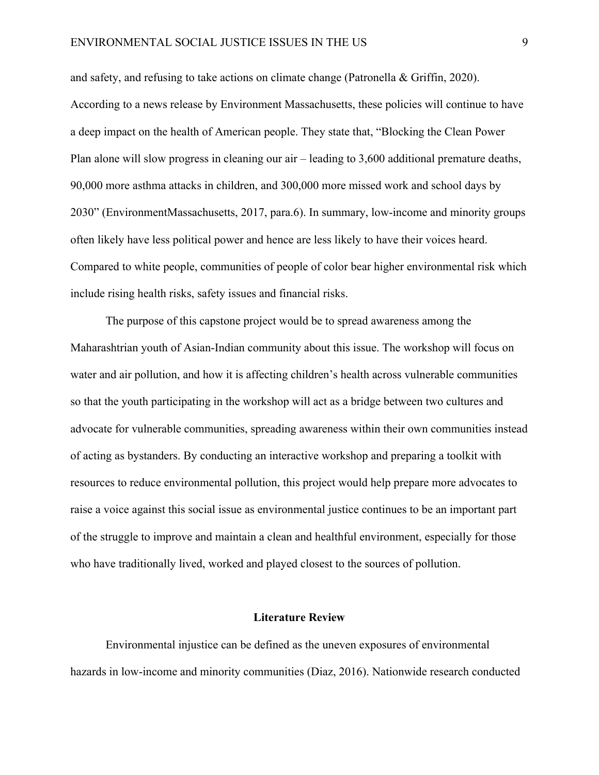and safety, and refusing to take actions on climate change (Patronella & Griffin, 2020). According to a news release by Environment Massachusetts, these policies will continue to have a deep impact on the health of American people. They state that, "Blocking the Clean Power Plan alone will slow progress in cleaning our air – leading to 3,600 additional premature deaths, 90,000 more asthma attacks in children, and 300,000 more missed work and school days by 2030" (EnvironmentMassachusetts, 2017, para.6). In summary, low-income and minority groups often likely have less political power and hence are less likely to have their voices heard. Compared to white people, communities of people of color bear higher environmental risk which include rising health risks, safety issues and financial risks.

The purpose of this capstone project would be to spread awareness among the Maharashtrian youth of Asian-Indian community about this issue. The workshop will focus on water and air pollution, and how it is affecting children's health across vulnerable communities so that the youth participating in the workshop will act as a bridge between two cultures and advocate for vulnerable communities, spreading awareness within their own communities instead of acting as bystanders. By conducting an interactive workshop and preparing a toolkit with resources to reduce environmental pollution, this project would help prepare more advocates to raise a voice against this social issue as environmental justice continues to be an important part of the struggle to improve and maintain a clean and healthful environment, especially for those who have traditionally lived, worked and played closest to the sources of pollution.

#### **Literature Review**

Environmental injustice can be defined as the uneven exposures of environmental hazards in low-income and minority communities (Diaz, 2016). Nationwide research conducted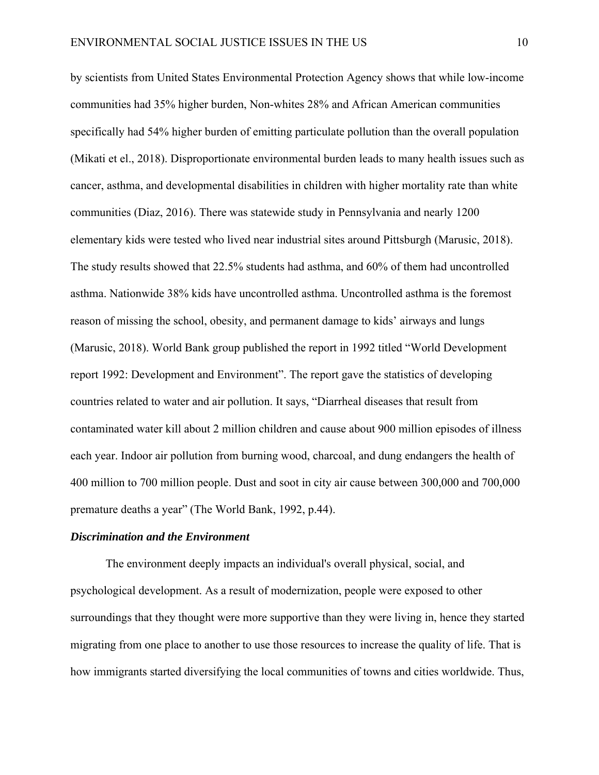by scientists from United States Environmental Protection Agency shows that while low-income communities had 35% higher burden, Non-whites 28% and African American communities specifically had 54% higher burden of emitting particulate pollution than the overall population (Mikati et el., 2018). Disproportionate environmental burden leads to many health issues such as cancer, asthma, and developmental disabilities in children with higher mortality rate than white communities (Diaz, 2016). There was statewide study in Pennsylvania and nearly 1200 elementary kids were tested who lived near industrial sites around Pittsburgh (Marusic, 2018). The study results showed that 22.5% students had asthma, and 60% of them had uncontrolled asthma. Nationwide 38% kids have uncontrolled asthma. Uncontrolled asthma is the foremost reason of missing the school, obesity, and permanent damage to kids' airways and lungs (Marusic, 2018). World Bank group published the report in 1992 titled "World Development report 1992: Development and Environment". The report gave the statistics of developing countries related to water and air pollution. It says, "Diarrheal diseases that result from contaminated water kill about 2 million children and cause about 900 million episodes of illness each year. Indoor air pollution from burning wood, charcoal, and dung endangers the health of 400 million to 700 million people. Dust and soot in city air cause between 300,000 and 700,000 premature deaths a year" (The World Bank, 1992, p.44).

#### *Discrimination and the Environment*

The environment deeply impacts an individual's overall physical, social, and psychological development. As a result of modernization, people were exposed to other surroundings that they thought were more supportive than they were living in, hence they started migrating from one place to another to use those resources to increase the quality of life. That is how immigrants started diversifying the local communities of towns and cities worldwide. Thus,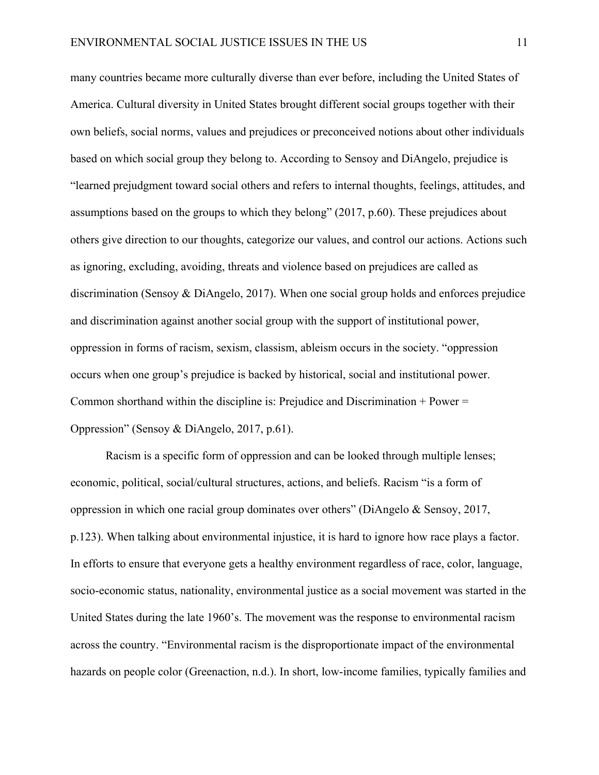many countries became more culturally diverse than ever before, including the United States of America. Cultural diversity in United States brought different social groups together with their own beliefs, social norms, values and prejudices or preconceived notions about other individuals based on which social group they belong to. According to Sensoy and DiAngelo, prejudice is "learned prejudgment toward social others and refers to internal thoughts, feelings, attitudes, and assumptions based on the groups to which they belong" (2017, p.60). These prejudices about others give direction to our thoughts, categorize our values, and control our actions. Actions such as ignoring, excluding, avoiding, threats and violence based on prejudices are called as discrimination (Sensoy & DiAngelo, 2017). When one social group holds and enforces prejudice and discrimination against another social group with the support of institutional power, oppression in forms of racism, sexism, classism, ableism occurs in the society. "oppression occurs when one group's prejudice is backed by historical, social and institutional power. Common shorthand within the discipline is: Prejudice and Discrimination  $+$  Power  $=$ Oppression" (Sensoy & DiAngelo, 2017, p.61).

Racism is a specific form of oppression and can be looked through multiple lenses; economic, political, social/cultural structures, actions, and beliefs. Racism "is a form of oppression in which one racial group dominates over others" (DiAngelo & Sensoy, 2017, p.123). When talking about environmental injustice, it is hard to ignore how race plays a factor. In efforts to ensure that everyone gets a healthy environment regardless of race, color, language, socio-economic status, nationality, environmental justice as a social movement was started in the United States during the late 1960's. The movement was the response to environmental racism across the country. "Environmental racism is the disproportionate impact of the environmental hazards on people color (Greenaction, n.d.). In short, low-income families, typically families and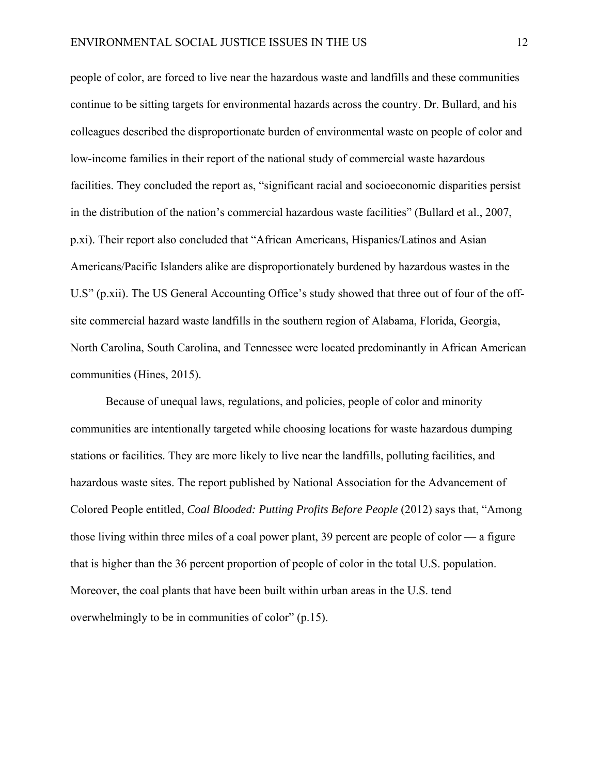people of color, are forced to live near the hazardous waste and landfills and these communities continue to be sitting targets for environmental hazards across the country. Dr. Bullard, and his colleagues described the disproportionate burden of environmental waste on people of color and low-income families in their report of the national study of commercial waste hazardous facilities. They concluded the report as, "significant racial and socioeconomic disparities persist in the distribution of the nation's commercial hazardous waste facilities" (Bullard et al., 2007, p.xi). Their report also concluded that "African Americans, Hispanics/Latinos and Asian Americans/Pacific Islanders alike are disproportionately burdened by hazardous wastes in the U.S" (p.xii). The US General Accounting Office's study showed that three out of four of the offsite commercial hazard waste landfills in the southern region of Alabama, Florida, Georgia, North Carolina, South Carolina, and Tennessee were located predominantly in African American communities (Hines, 2015).

Because of unequal laws, regulations, and policies, people of color and minority communities are intentionally targeted while choosing locations for waste hazardous dumping stations or facilities. They are more likely to live near the landfills, polluting facilities, and hazardous waste sites. The report published by National Association for the Advancement of Colored People entitled, *Coal Blooded: Putting Profits Before People* (2012) says that, "Among those living within three miles of a coal power plant, 39 percent are people of color — a figure that is higher than the 36 percent proportion of people of color in the total U.S. population. Moreover, the coal plants that have been built within urban areas in the U.S. tend overwhelmingly to be in communities of color" (p.15).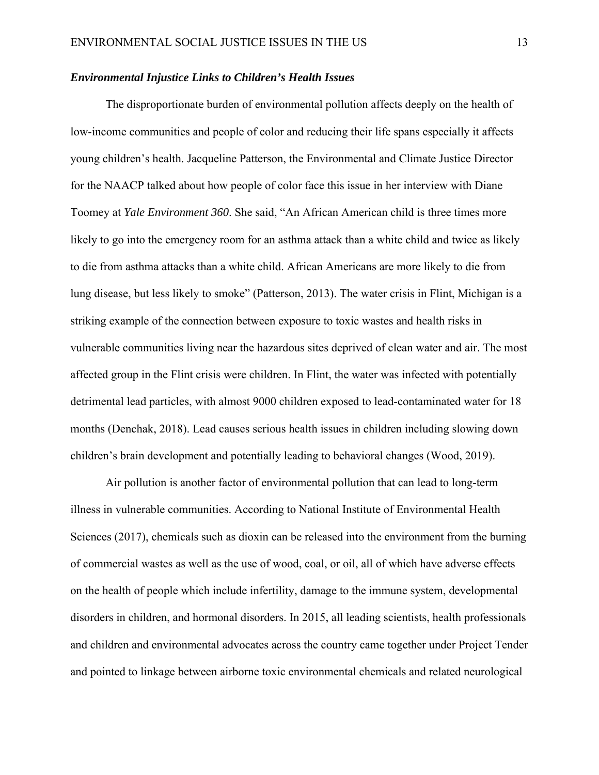## *Environmental Injustice Links to Children's Health Issues*

The disproportionate burden of environmental pollution affects deeply on the health of low-income communities and people of color and reducing their life spans especially it affects young children's health. Jacqueline Patterson, the Environmental and Climate Justice Director for the NAACP talked about how people of color face this issue in her interview with Diane Toomey at *Yale Environment 360*. She said, "An African American child is three times more likely to go into the emergency room for an asthma attack than a white child and twice as likely to die from asthma attacks than a white child. African Americans are more likely to die from lung disease, but less likely to smoke" (Patterson, 2013). The water crisis in Flint, Michigan is a striking example of the connection between exposure to toxic wastes and health risks in vulnerable communities living near the hazardous sites deprived of clean water and air. The most affected group in the Flint crisis were children. In Flint, the water was infected with potentially detrimental lead particles, with almost 9000 children exposed to lead-contaminated water for 18 months (Denchak, 2018). Lead causes serious health issues in children including slowing down children's brain development and potentially leading to behavioral changes (Wood, 2019).

Air pollution is another factor of environmental pollution that can lead to long-term illness in vulnerable communities. According to National Institute of Environmental Health Sciences (2017), chemicals such as dioxin can be released into the environment from the burning of commercial wastes as well as the use of wood, coal, or oil, all of which have adverse effects on the health of people which include infertility, damage to the immune system, developmental disorders in children, and hormonal disorders. In 2015, all leading scientists, health professionals and children and environmental advocates across the country came together under Project Tender and pointed to linkage between airborne toxic environmental chemicals and related neurological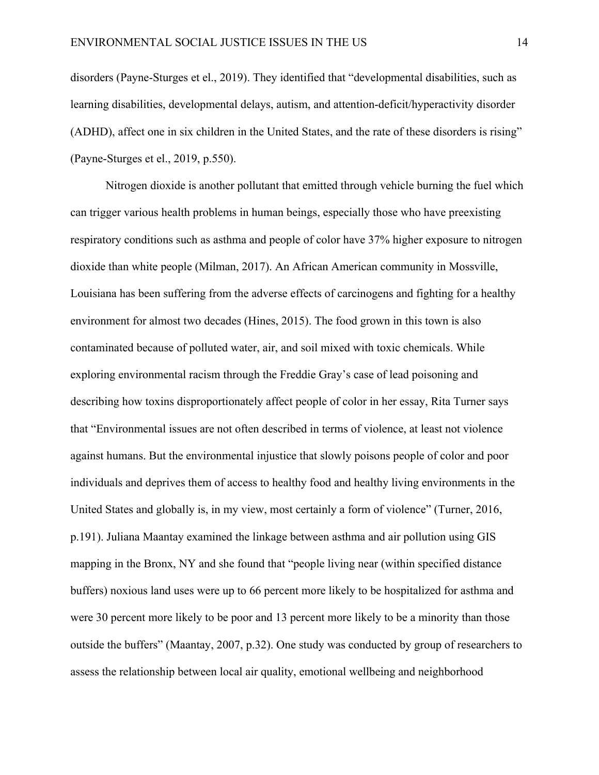disorders (Payne-Sturges et el., 2019). They identified that "developmental disabilities, such as learning disabilities, developmental delays, autism, and attention-deficit/hyperactivity disorder (ADHD), affect one in six children in the United States, and the rate of these disorders is rising" (Payne-Sturges et el., 2019, p.550).

Nitrogen dioxide is another pollutant that emitted through vehicle burning the fuel which can trigger various health problems in human beings, especially those who have preexisting respiratory conditions such as asthma and people of color have 37% higher exposure to nitrogen dioxide than white people (Milman, 2017). An African American community in Mossville, Louisiana has been suffering from the adverse effects of carcinogens and fighting for a healthy environment for almost two decades (Hines, 2015). The food grown in this town is also contaminated because of polluted water, air, and soil mixed with toxic chemicals. While exploring environmental racism through the Freddie Gray's case of lead poisoning and describing how toxins disproportionately affect people of color in her essay, Rita Turner says that "Environmental issues are not often described in terms of violence, at least not violence against humans. But the environmental injustice that slowly poisons people of color and poor individuals and deprives them of access to healthy food and healthy living environments in the United States and globally is, in my view, most certainly a form of violence" (Turner, 2016, p.191). Juliana Maantay examined the linkage between asthma and air pollution using GIS mapping in the Bronx, NY and she found that "people living near (within specified distance buffers) noxious land uses were up to 66 percent more likely to be hospitalized for asthma and were 30 percent more likely to be poor and 13 percent more likely to be a minority than those outside the buffers" (Maantay, 2007, p.32). One study was conducted by group of researchers to assess the relationship between local air quality, emotional wellbeing and neighborhood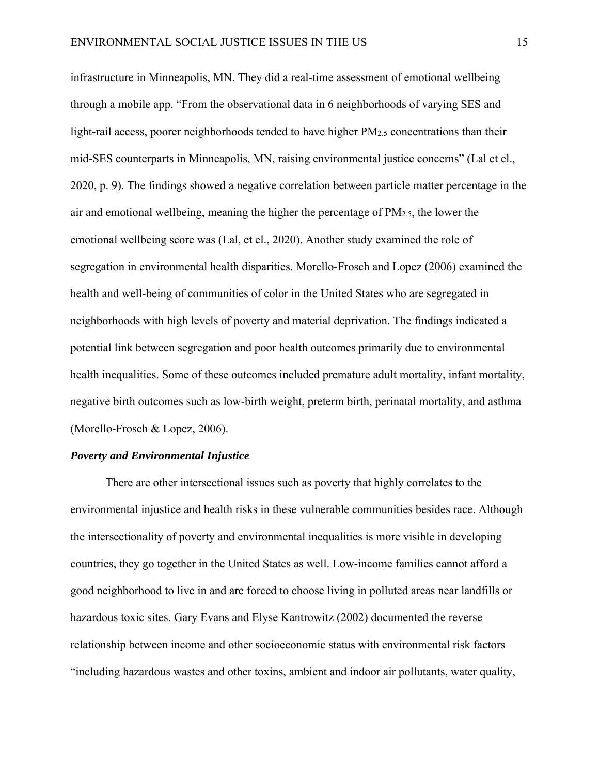infrastructure in Minneapolis, MN. They did a real-time assessment of emotional wellbeing through a mobile app. "From the observational data in 6 neighborhoods of varying SES and light-rail access, poorer neighborhoods tended to have higher PM<sub>2.5</sub> concentrations than their mid-SES counterparts in Minneapolis, MN, raising environmental justice concerns" (Lal et el., 2020, p. 9). The findings showed a negative correlation between particle matter percentage in the air and emotional wellbeing, meaning the higher the percentage of PM2.5, the lower the emotional wellbeing score was (Lal, et el., 2020). Another study examined the role of segregation in environmental health disparities. Morello-Frosch and Lopez (2006) examined the health and well-being of communities of color in the United States who are segregated in neighborhoods with high levels of poverty and material deprivation. The findings indicated a potential link between segregation and poor health outcomes primarily due to environmental health inequalities. Some of these outcomes included premature adult mortality, infant mortality, negative birth outcomes such as low-birth weight, preterm birth, perinatal mortality, and asthma (Morello-Frosch & Lopez, 2006).

#### *Poverty and Environmental Injustice*

There are other intersectional issues such as poverty that highly correlates to the environmental injustice and health risks in these vulnerable communities besides race. Although the intersectionality of poverty and environmental inequalities is more visible in developing countries, they go together in the United States as well. Low-income families cannot afford a good neighborhood to live in and are forced to choose living in polluted areas near landfills or hazardous toxic sites. Gary Evans and Elyse Kantrowitz (2002) documented the reverse relationship between income and other socioeconomic status with environmental risk factors "including hazardous wastes and other toxins, ambient and indoor air pollutants, water quality,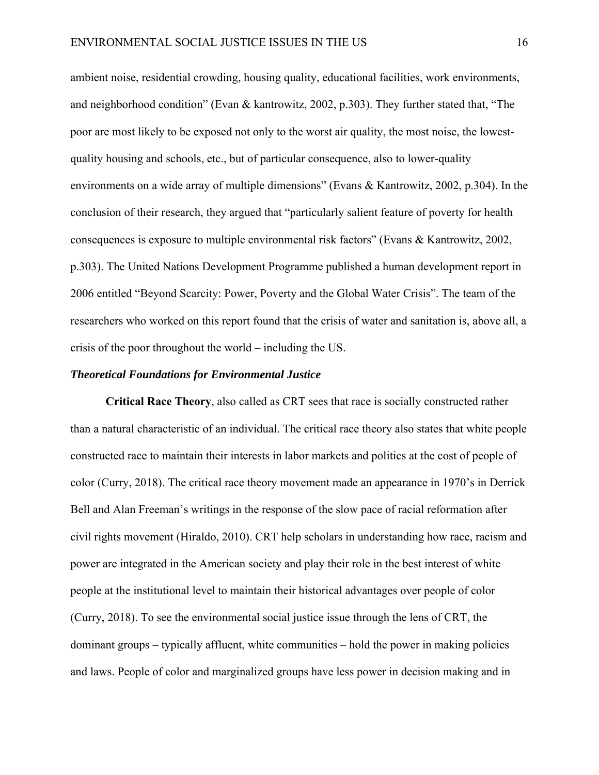ambient noise, residential crowding, housing quality, educational facilities, work environments, and neighborhood condition" (Evan & kantrowitz, 2002, p.303). They further stated that, "The poor are most likely to be exposed not only to the worst air quality, the most noise, the lowestquality housing and schools, etc., but of particular consequence, also to lower-quality environments on a wide array of multiple dimensions" (Evans & Kantrowitz, 2002, p.304). In the conclusion of their research, they argued that "particularly salient feature of poverty for health consequences is exposure to multiple environmental risk factors" (Evans & Kantrowitz, 2002, p.303). The United Nations Development Programme published a human development report in 2006 entitled "Beyond Scarcity: Power, Poverty and the Global Water Crisis". The team of the researchers who worked on this report found that the crisis of water and sanitation is, above all, a crisis of the poor throughout the world – including the US.

#### *Theoretical Foundations for Environmental Justice*

**Critical Race Theory**, also called as CRT sees that race is socially constructed rather than a natural characteristic of an individual. The critical race theory also states that white people constructed race to maintain their interests in labor markets and politics at the cost of people of color (Curry, 2018). The critical race theory movement made an appearance in 1970's in Derrick Bell and Alan Freeman's writings in the response of the slow pace of racial reformation after civil rights movement (Hiraldo, 2010). CRT help scholars in understanding how race, racism and power are integrated in the American society and play their role in the best interest of white people at the institutional level to maintain their historical advantages over people of color (Curry, 2018). To see the environmental social justice issue through the lens of CRT, the dominant groups – typically affluent, white communities – hold the power in making policies and laws. People of color and marginalized groups have less power in decision making and in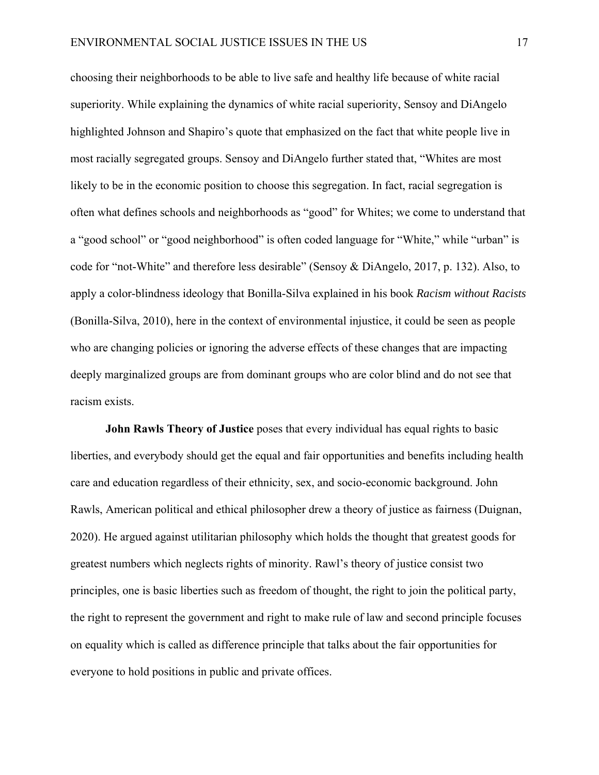choosing their neighborhoods to be able to live safe and healthy life because of white racial superiority. While explaining the dynamics of white racial superiority, Sensoy and DiAngelo highlighted Johnson and Shapiro's quote that emphasized on the fact that white people live in most racially segregated groups. Sensoy and DiAngelo further stated that, "Whites are most likely to be in the economic position to choose this segregation. In fact, racial segregation is often what defines schools and neighborhoods as "good" for Whites; we come to understand that a "good school" or "good neighborhood" is often coded language for "White," while "urban" is code for "not-White" and therefore less desirable" (Sensoy & DiAngelo, 2017, p. 132). Also, to apply a color-blindness ideology that Bonilla-Silva explained in his book *Racism without Racists* (Bonilla-Silva, 2010), here in the context of environmental injustice, it could be seen as people who are changing policies or ignoring the adverse effects of these changes that are impacting deeply marginalized groups are from dominant groups who are color blind and do not see that racism exists.

**John Rawls Theory of Justice** poses that every individual has equal rights to basic liberties, and everybody should get the equal and fair opportunities and benefits including health care and education regardless of their ethnicity, sex, and socio-economic background. John Rawls, American political and ethical philosopher drew a theory of justice as fairness (Duignan, 2020). He argued against utilitarian philosophy which holds the thought that greatest goods for greatest numbers which neglects rights of minority. Rawl's theory of justice consist two principles, one is basic liberties such as freedom of thought, the right to join the political party, the right to represent the government and right to make rule of law and second principle focuses on equality which is called as difference principle that talks about the fair opportunities for everyone to hold positions in public and private offices.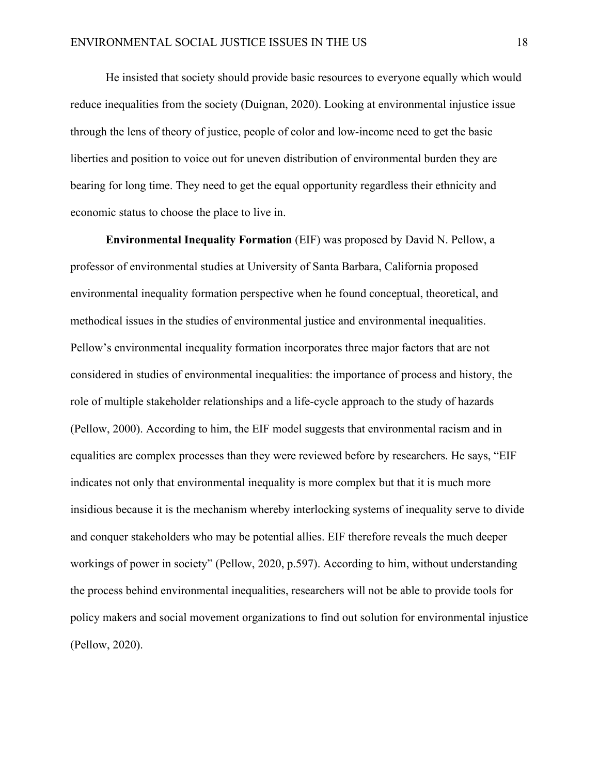He insisted that society should provide basic resources to everyone equally which would reduce inequalities from the society (Duignan, 2020). Looking at environmental injustice issue through the lens of theory of justice, people of color and low-income need to get the basic liberties and position to voice out for uneven distribution of environmental burden they are bearing for long time. They need to get the equal opportunity regardless their ethnicity and economic status to choose the place to live in.

**Environmental Inequality Formation** (EIF) was proposed by David N. Pellow, a professor of environmental studies at University of Santa Barbara, California proposed environmental inequality formation perspective when he found conceptual, theoretical, and methodical issues in the studies of environmental justice and environmental inequalities. Pellow's environmental inequality formation incorporates three major factors that are not considered in studies of environmental inequalities: the importance of process and history, the role of multiple stakeholder relationships and a life-cycle approach to the study of hazards (Pellow, 2000). According to him, the EIF model suggests that environmental racism and in equalities are complex processes than they were reviewed before by researchers. He says, "EIF indicates not only that environmental inequality is more complex but that it is much more insidious because it is the mechanism whereby interlocking systems of inequality serve to divide and conquer stakeholders who may be potential allies. EIF therefore reveals the much deeper workings of power in society" (Pellow, 2020, p.597). According to him, without understanding the process behind environmental inequalities, researchers will not be able to provide tools for policy makers and social movement organizations to find out solution for environmental injustice (Pellow, 2020).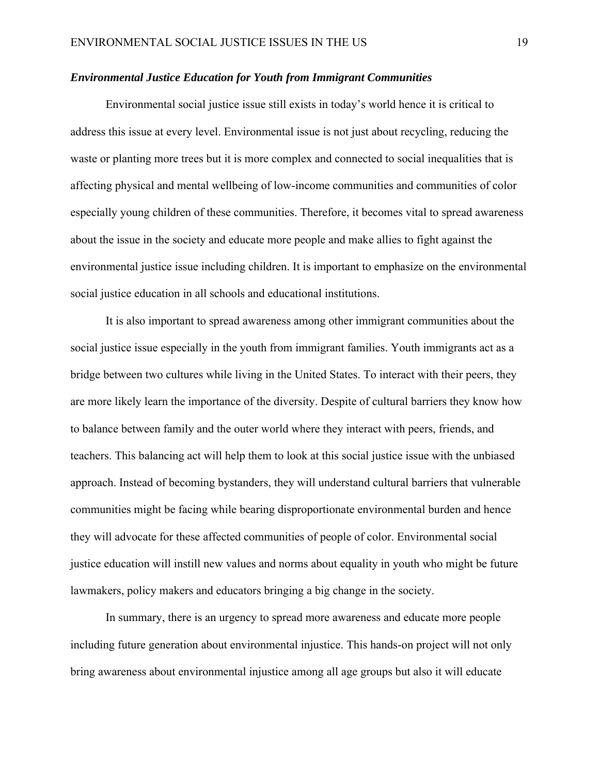#### *Environmental Justice Education for Youth from Immigrant Communities*

Environmental social justice issue still exists in today's world hence it is critical to address this issue at every level. Environmental issue is not just about recycling, reducing the waste or planting more trees but it is more complex and connected to social inequalities that is affecting physical and mental wellbeing of low-income communities and communities of color especially young children of these communities. Therefore, it becomes vital to spread awareness about the issue in the society and educate more people and make allies to fight against the environmental justice issue including children. It is important to emphasize on the environmental social justice education in all schools and educational institutions.

It is also important to spread awareness among other immigrant communities about the social justice issue especially in the youth from immigrant families. Youth immigrants act as a bridge between two cultures while living in the United States. To interact with their peers, they are more likely learn the importance of the diversity. Despite of cultural barriers they know how to balance between family and the outer world where they interact with peers, friends, and teachers. This balancing act will help them to look at this social justice issue with the unbiased approach. Instead of becoming bystanders, they will understand cultural barriers that vulnerable communities might be facing while bearing disproportionate environmental burden and hence they will advocate for these affected communities of people of color. Environmental social justice education will instill new values and norms about equality in youth who might be future lawmakers, policy makers and educators bringing a big change in the society.

In summary, there is an urgency to spread more awareness and educate more people including future generation about environmental injustice. This hands-on project will not only bring awareness about environmental injustice among all age groups but also it will educate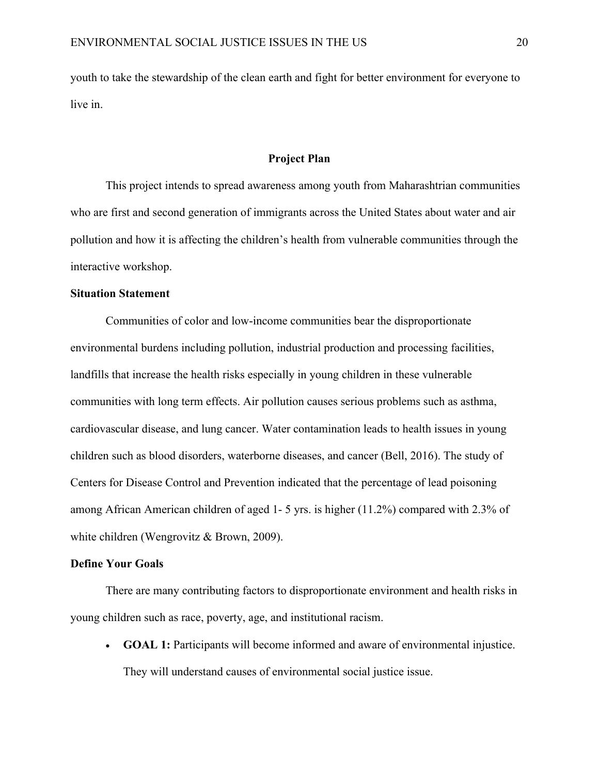youth to take the stewardship of the clean earth and fight for better environment for everyone to live in.

#### **Project Plan**

This project intends to spread awareness among youth from Maharashtrian communities who are first and second generation of immigrants across the United States about water and air pollution and how it is affecting the children's health from vulnerable communities through the interactive workshop.

## **Situation Statement**

 Communities of color and low-income communities bear the disproportionate environmental burdens including pollution, industrial production and processing facilities, landfills that increase the health risks especially in young children in these vulnerable communities with long term effects. Air pollution causes serious problems such as asthma, cardiovascular disease, and lung cancer. Water contamination leads to health issues in young children such as blood disorders, waterborne diseases, and cancer (Bell, 2016). The study of Centers for Disease Control and Prevention indicated that the percentage of lead poisoning among African American children of aged 1- 5 yrs. is higher (11.2%) compared with 2.3% of white children (Wengrovitz & Brown, 2009).

#### **Define Your Goals**

 There are many contributing factors to disproportionate environment and health risks in young children such as race, poverty, age, and institutional racism.

 **GOAL 1:** Participants will become informed and aware of environmental injustice. They will understand causes of environmental social justice issue.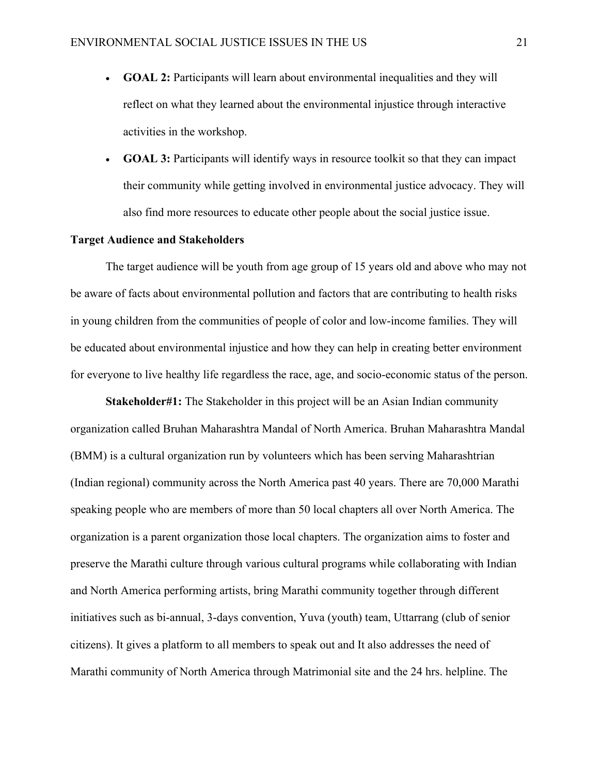- **GOAL 2:** Participants will learn about environmental inequalities and they will reflect on what they learned about the environmental injustice through interactive activities in the workshop.
- **GOAL 3:** Participants will identify ways in resource toolkit so that they can impact their community while getting involved in environmental justice advocacy. They will also find more resources to educate other people about the social justice issue.

#### **Target Audience and Stakeholders**

 The target audience will be youth from age group of 15 years old and above who may not be aware of facts about environmental pollution and factors that are contributing to health risks in young children from the communities of people of color and low-income families. They will be educated about environmental injustice and how they can help in creating better environment for everyone to live healthy life regardless the race, age, and socio-economic status of the person.

**Stakeholder#1:** The Stakeholder in this project will be an Asian Indian community organization called Bruhan Maharashtra Mandal of North America. Bruhan Maharashtra Mandal (BMM) is a cultural organization run by volunteers which has been serving Maharashtrian (Indian regional) community across the North America past 40 years. There are 70,000 Marathi speaking people who are members of more than 50 local chapters all over North America. The organization is a parent organization those local chapters. The organization aims to foster and preserve the Marathi culture through various cultural programs while collaborating with Indian and North America performing artists, bring Marathi community together through different initiatives such as bi-annual, 3-days convention, Yuva (youth) team, Uttarrang (club of senior citizens). It gives a platform to all members to speak out and It also addresses the need of Marathi community of North America through Matrimonial site and the 24 hrs. helpline. The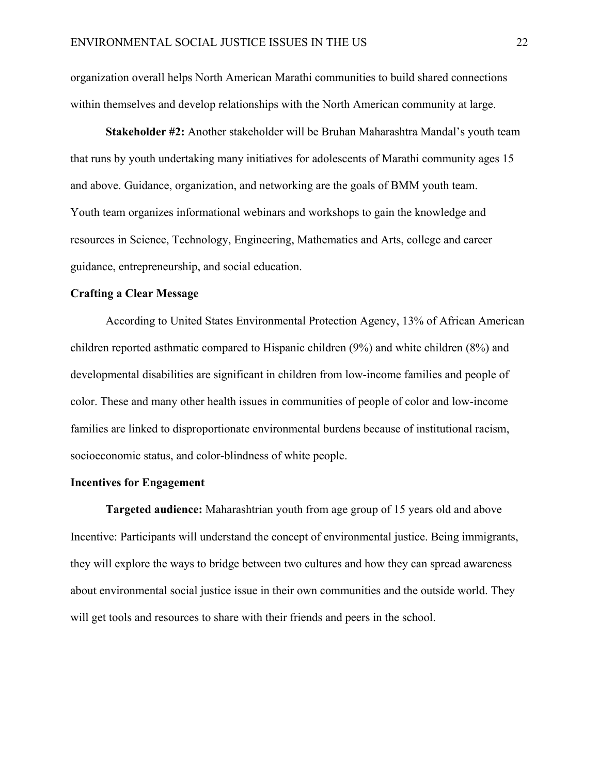organization overall helps North American Marathi communities to build shared connections within themselves and develop relationships with the North American community at large.

**Stakeholder #2:** Another stakeholder will be Bruhan Maharashtra Mandal's youth team that runs by youth undertaking many initiatives for adolescents of Marathi community ages 15 and above. Guidance, organization, and networking are the goals of BMM youth team. Youth team organizes informational webinars and workshops to gain the knowledge and resources in Science, Technology, Engineering, Mathematics and Arts, college and career guidance, entrepreneurship, and social education.

## **Crafting a Clear Message**

 According to United States Environmental Protection Agency, 13% of African American children reported asthmatic compared to Hispanic children (9%) and white children (8%) and developmental disabilities are significant in children from low-income families and people of color. These and many other health issues in communities of people of color and low-income families are linked to disproportionate environmental burdens because of institutional racism, socioeconomic status, and color-blindness of white people.

#### **Incentives for Engagement**

**Targeted audience:** Maharashtrian youth from age group of 15 years old and above Incentive: Participants will understand the concept of environmental justice. Being immigrants, they will explore the ways to bridge between two cultures and how they can spread awareness about environmental social justice issue in their own communities and the outside world. They will get tools and resources to share with their friends and peers in the school.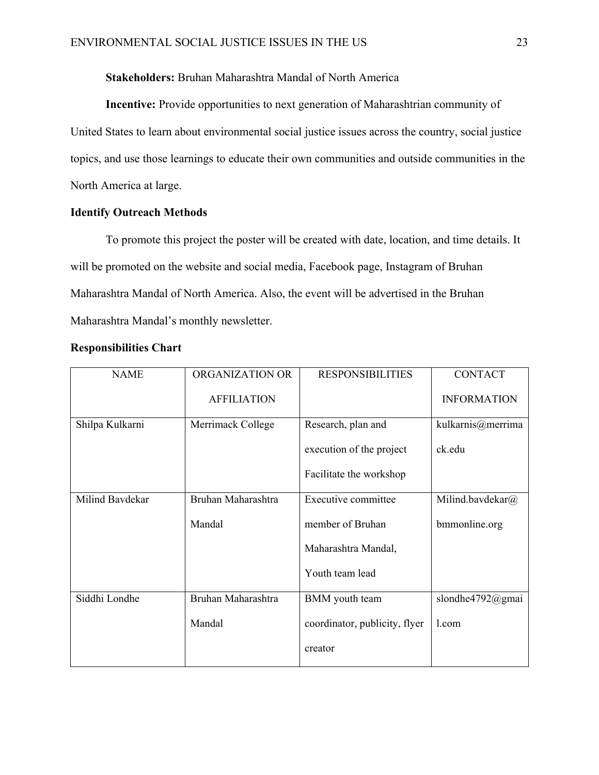**Stakeholders:** Bruhan Maharashtra Mandal of North America

**Incentive:** Provide opportunities to next generation of Maharashtrian community of United States to learn about environmental social justice issues across the country, social justice topics, and use those learnings to educate their own communities and outside communities in the North America at large.

# **Identify Outreach Methods**

 To promote this project the poster will be created with date, location, and time details. It will be promoted on the website and social media, Facebook page, Instagram of Bruhan Maharashtra Mandal of North America. Also, the event will be advertised in the Bruhan Maharashtra Mandal's monthly newsletter.

| <b>NAME</b>     | ORGANIZATION OR    | <b>RESPONSIBILITIES</b>       | <b>CONTACT</b>     |
|-----------------|--------------------|-------------------------------|--------------------|
|                 | <b>AFFILIATION</b> |                               | <b>INFORMATION</b> |
| Shilpa Kulkarni | Merrimack College  | Research, plan and            | kulkarnis@merrima  |
|                 |                    | execution of the project      | ck.edu             |
|                 |                    | Facilitate the workshop       |                    |
| Milind Bavdekar | Bruhan Maharashtra | Executive committee           | Milind.bavdekar@   |
|                 | Mandal             | member of Bruhan              | bmmonline.org      |
|                 |                    | Maharashtra Mandal,           |                    |
|                 |                    | Youth team lead               |                    |
| Siddhi Londhe   | Bruhan Maharashtra | BMM youth team                | slondhe4792@gmai   |
|                 | Mandal             | coordinator, publicity, flyer | 1.com              |
|                 |                    | creator                       |                    |

#### **Responsibilities Chart**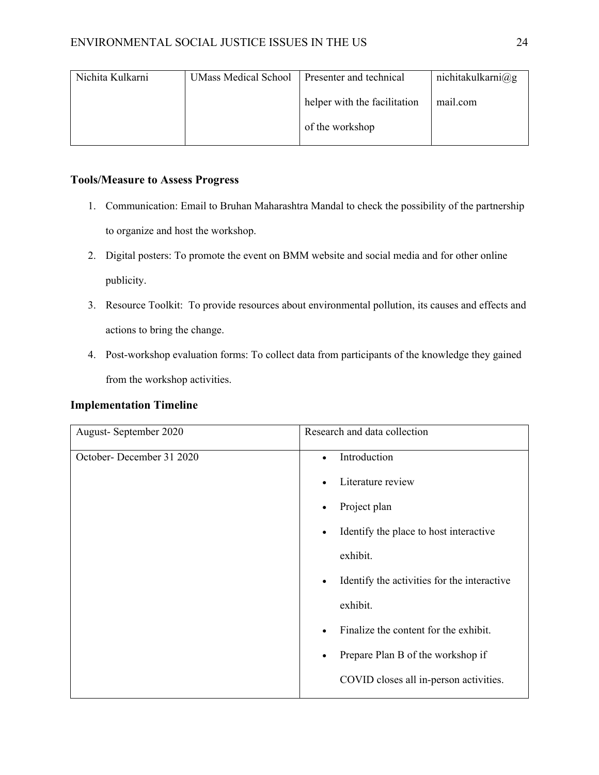| Nichita Kulkarni | <b>UMass Medical School</b> | Presenter and technical      | nichitakulkarni@g |  |
|------------------|-----------------------------|------------------------------|-------------------|--|
|                  |                             | helper with the facilitation | mail.com          |  |
|                  |                             | of the workshop              |                   |  |

# **Tools/Measure to Assess Progress**

- 1. Communication: Email to Bruhan Maharashtra Mandal to check the possibility of the partnership to organize and host the workshop.
- 2. Digital posters: To promote the event on BMM website and social media and for other online publicity.
- 3. Resource Toolkit: To provide resources about environmental pollution, its causes and effects and actions to bring the change.
- 4. Post-workshop evaluation forms: To collect data from participants of the knowledge they gained from the workshop activities.

# **Implementation Timeline**

| August-September 2020    | Research and data collection                             |  |  |
|--------------------------|----------------------------------------------------------|--|--|
| October-December 31 2020 | Introduction<br>$\bullet$                                |  |  |
|                          | Literature review                                        |  |  |
|                          | Project plan<br>$\bullet$                                |  |  |
|                          | Identify the place to host interactive<br>$\bullet$      |  |  |
|                          | exhibit.                                                 |  |  |
|                          | Identify the activities for the interactive<br>$\bullet$ |  |  |
|                          | exhibit.                                                 |  |  |
|                          | Finalize the content for the exhibit.<br>$\bullet$       |  |  |
|                          | Prepare Plan B of the workshop if<br>$\bullet$           |  |  |
|                          | COVID closes all in-person activities.                   |  |  |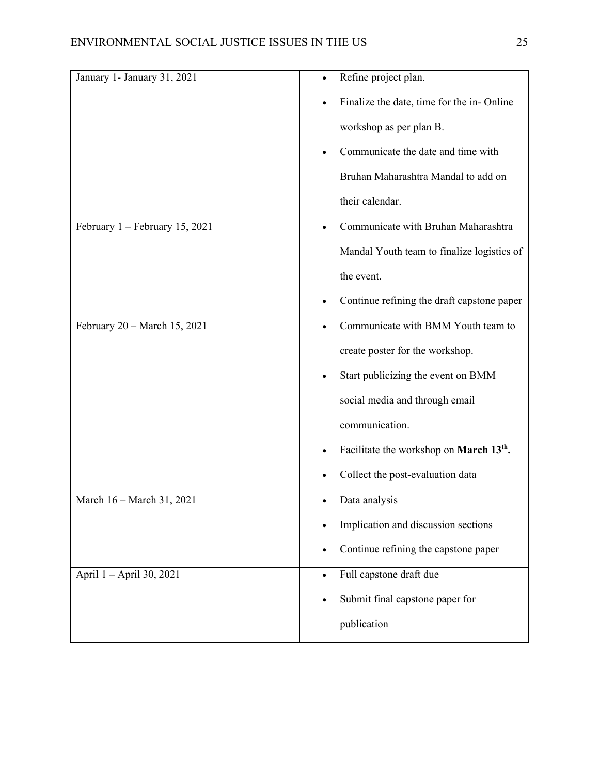| January 1- January 31, 2021    | Refine project plan.                                     |
|--------------------------------|----------------------------------------------------------|
|                                | Finalize the date, time for the in-Online                |
|                                | workshop as per plan B.                                  |
|                                | Communicate the date and time with                       |
|                                | Bruhan Maharashtra Mandal to add on                      |
|                                | their calendar.                                          |
| February 1 - February 15, 2021 | Communicate with Bruhan Maharashtra                      |
|                                | Mandal Youth team to finalize logistics of               |
|                                | the event.                                               |
|                                | Continue refining the draft capstone paper               |
| February 20 - March 15, 2021   | Communicate with BMM Youth team to<br>$\bullet$          |
|                                | create poster for the workshop.                          |
|                                | Start publicizing the event on BMM<br>$\bullet$          |
|                                | social media and through email                           |
|                                | communication.                                           |
|                                | Facilitate the workshop on March 13 <sup>th</sup> .<br>٠ |
|                                | Collect the post-evaluation data                         |
| March 16 - March 31, 2021      | Data analysis<br>$\bullet$                               |
|                                | Implication and discussion sections                      |
|                                | Continue refining the capstone paper                     |
| April 1 - April 30, 2021       | Full capstone draft due<br>$\bullet$                     |
|                                | Submit final capstone paper for                          |
|                                | publication                                              |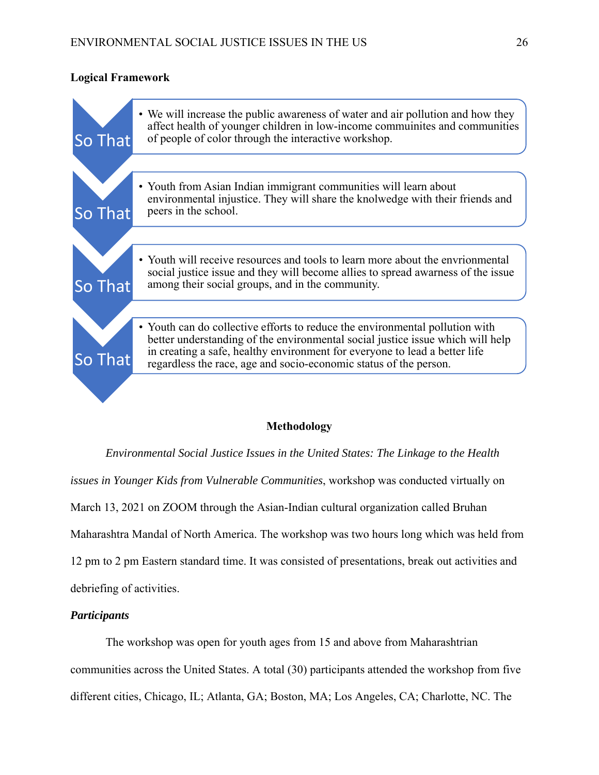# **Logical Framework**

| So That | • We will increase the public awareness of water and air pollution and how they<br>affect health of younger children in low-income communities and communities<br>of people of color through the interactive workshop.                                                                                            |
|---------|-------------------------------------------------------------------------------------------------------------------------------------------------------------------------------------------------------------------------------------------------------------------------------------------------------------------|
|         |                                                                                                                                                                                                                                                                                                                   |
| So That | • Youth from Asian Indian immigrant communities will learn about<br>environmental injustice. They will share the knolwedge with their friends and<br>peers in the school.                                                                                                                                         |
|         |                                                                                                                                                                                                                                                                                                                   |
| So That | • Youth will receive resources and tools to learn more about the envrionmental<br>social justice issue and they will become allies to spread awarness of the issue<br>among their social groups, and in the community.                                                                                            |
|         |                                                                                                                                                                                                                                                                                                                   |
| So That | • Youth can do collective efforts to reduce the environmental pollution with<br>better understanding of the environmental social justice issue which will help<br>in creating a safe, healthy environment for everyone to lead a better life<br>regardless the race, age and socio-economic status of the person. |
|         |                                                                                                                                                                                                                                                                                                                   |

# **Methodology**

*Environmental Social Justice Issues in the United States: The Linkage to the Health issues in Younger Kids from Vulnerable Communities*, workshop was conducted virtually on March 13, 2021 on ZOOM through the Asian-Indian cultural organization called Bruhan Maharashtra Mandal of North America. The workshop was two hours long which was held from 12 pm to 2 pm Eastern standard time. It was consisted of presentations, break out activities and debriefing of activities.

# *Participants*

 The workshop was open for youth ages from 15 and above from Maharashtrian communities across the United States. A total (30) participants attended the workshop from five different cities, Chicago, IL; Atlanta, GA; Boston, MA; Los Angeles, CA; Charlotte, NC. The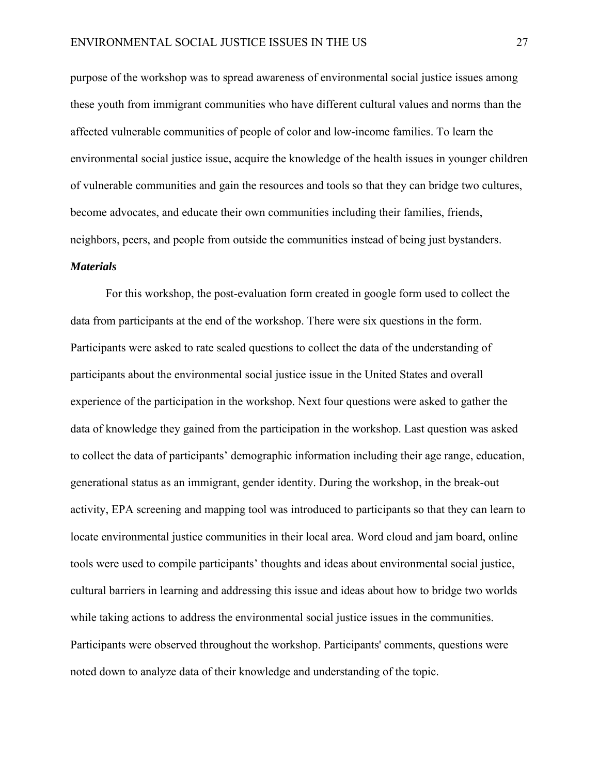purpose of the workshop was to spread awareness of environmental social justice issues among these youth from immigrant communities who have different cultural values and norms than the affected vulnerable communities of people of color and low-income families. To learn the environmental social justice issue, acquire the knowledge of the health issues in younger children of vulnerable communities and gain the resources and tools so that they can bridge two cultures, become advocates, and educate their own communities including their families, friends, neighbors, peers, and people from outside the communities instead of being just bystanders.

## *Materials*

 For this workshop, the post-evaluation form created in google form used to collect the data from participants at the end of the workshop. There were six questions in the form. Participants were asked to rate scaled questions to collect the data of the understanding of participants about the environmental social justice issue in the United States and overall experience of the participation in the workshop. Next four questions were asked to gather the data of knowledge they gained from the participation in the workshop. Last question was asked to collect the data of participants' demographic information including their age range, education, generational status as an immigrant, gender identity. During the workshop, in the break-out activity, EPA screening and mapping tool was introduced to participants so that they can learn to locate environmental justice communities in their local area. Word cloud and jam board, online tools were used to compile participants' thoughts and ideas about environmental social justice, cultural barriers in learning and addressing this issue and ideas about how to bridge two worlds while taking actions to address the environmental social justice issues in the communities. Participants were observed throughout the workshop. Participants' comments, questions were noted down to analyze data of their knowledge and understanding of the topic.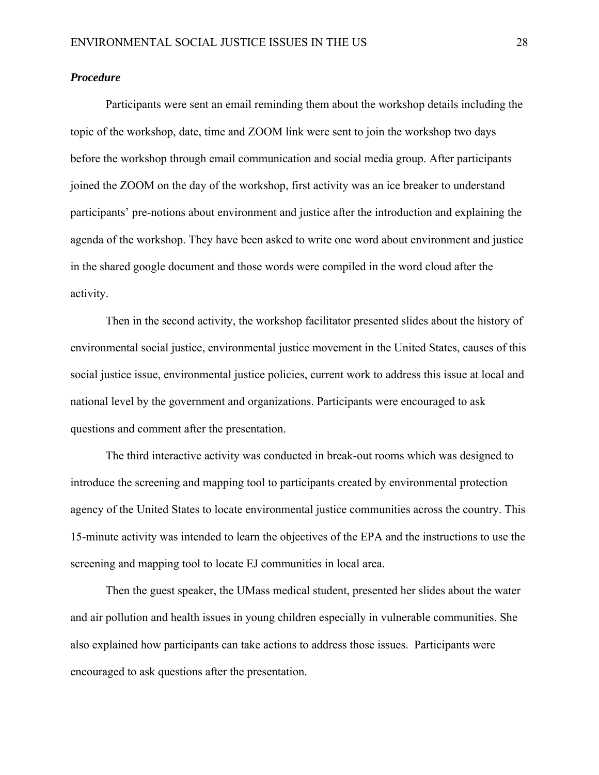# *Procedure*

 Participants were sent an email reminding them about the workshop details including the topic of the workshop, date, time and ZOOM link were sent to join the workshop two days before the workshop through email communication and social media group. After participants joined the ZOOM on the day of the workshop, first activity was an ice breaker to understand participants' pre-notions about environment and justice after the introduction and explaining the agenda of the workshop. They have been asked to write one word about environment and justice in the shared google document and those words were compiled in the word cloud after the activity.

Then in the second activity, the workshop facilitator presented slides about the history of environmental social justice, environmental justice movement in the United States, causes of this social justice issue, environmental justice policies, current work to address this issue at local and national level by the government and organizations. Participants were encouraged to ask questions and comment after the presentation.

The third interactive activity was conducted in break-out rooms which was designed to introduce the screening and mapping tool to participants created by environmental protection agency of the United States to locate environmental justice communities across the country. This 15-minute activity was intended to learn the objectives of the EPA and the instructions to use the screening and mapping tool to locate EJ communities in local area.

Then the guest speaker, the UMass medical student, presented her slides about the water and air pollution and health issues in young children especially in vulnerable communities. She also explained how participants can take actions to address those issues. Participants were encouraged to ask questions after the presentation.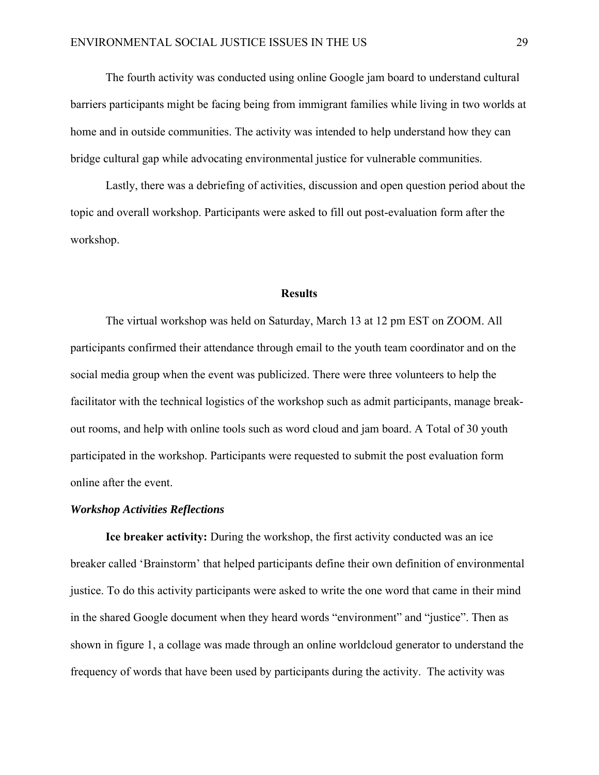The fourth activity was conducted using online Google jam board to understand cultural barriers participants might be facing being from immigrant families while living in two worlds at home and in outside communities. The activity was intended to help understand how they can bridge cultural gap while advocating environmental justice for vulnerable communities.

Lastly, there was a debriefing of activities, discussion and open question period about the topic and overall workshop. Participants were asked to fill out post-evaluation form after the workshop.

#### **Results**

 The virtual workshop was held on Saturday, March 13 at 12 pm EST on ZOOM. All participants confirmed their attendance through email to the youth team coordinator and on the social media group when the event was publicized. There were three volunteers to help the facilitator with the technical logistics of the workshop such as admit participants, manage breakout rooms, and help with online tools such as word cloud and jam board. A Total of 30 youth participated in the workshop. Participants were requested to submit the post evaluation form online after the event.

### *Workshop Activities Reflections*

**Ice breaker activity:** During the workshop, the first activity conducted was an ice breaker called 'Brainstorm' that helped participants define their own definition of environmental justice. To do this activity participants were asked to write the one word that came in their mind in the shared Google document when they heard words "environment" and "justice". Then as shown in figure 1, a collage was made through an online worldcloud generator to understand the frequency of words that have been used by participants during the activity. The activity was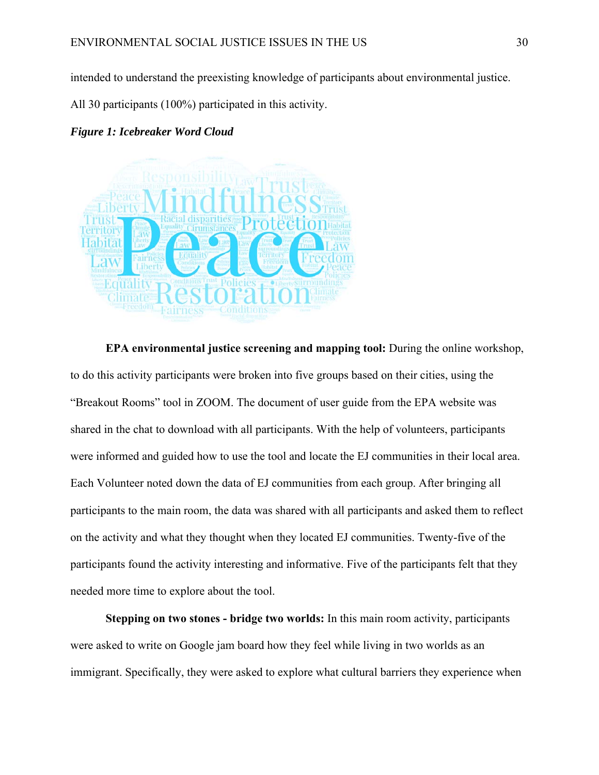intended to understand the preexisting knowledge of participants about environmental justice.

All 30 participants (100%) participated in this activity.

#### *Figure 1: Icebreaker Word Cloud*



**EPA environmental justice screening and mapping tool:** During the online workshop, to do this activity participants were broken into five groups based on their cities, using the "Breakout Rooms" tool in ZOOM. The document of user guide from the EPA website was shared in the chat to download with all participants. With the help of volunteers, participants were informed and guided how to use the tool and locate the EJ communities in their local area. Each Volunteer noted down the data of EJ communities from each group. After bringing all participants to the main room, the data was shared with all participants and asked them to reflect on the activity and what they thought when they located EJ communities. Twenty-five of the participants found the activity interesting and informative. Five of the participants felt that they needed more time to explore about the tool.

**Stepping on two stones - bridge two worlds:** In this main room activity, participants were asked to write on Google jam board how they feel while living in two worlds as an immigrant. Specifically, they were asked to explore what cultural barriers they experience when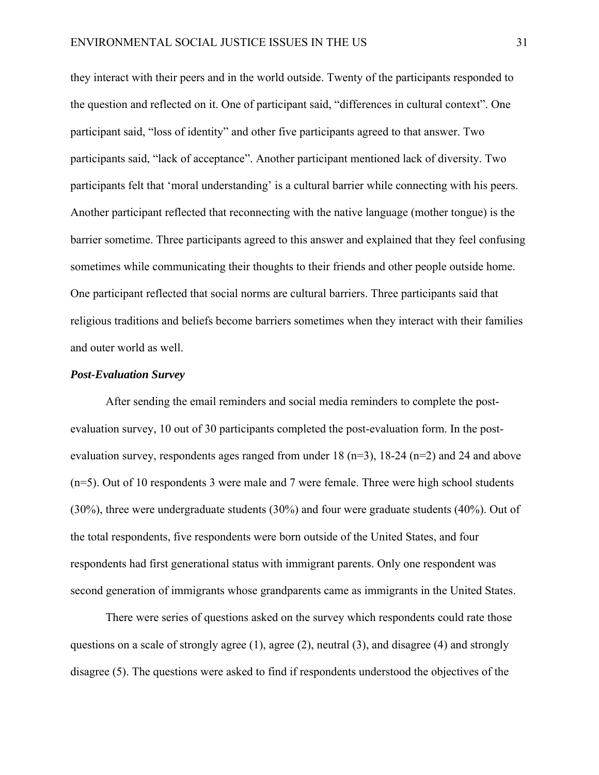they interact with their peers and in the world outside. Twenty of the participants responded to the question and reflected on it. One of participant said, "differences in cultural context". One participant said, "loss of identity" and other five participants agreed to that answer. Two participants said, "lack of acceptance". Another participant mentioned lack of diversity. Two participants felt that 'moral understanding' is a cultural barrier while connecting with his peers. Another participant reflected that reconnecting with the native language (mother tongue) is the barrier sometime. Three participants agreed to this answer and explained that they feel confusing sometimes while communicating their thoughts to their friends and other people outside home. One participant reflected that social norms are cultural barriers. Three participants said that religious traditions and beliefs become barriers sometimes when they interact with their families and outer world as well.

#### *Post-Evaluation Survey*

After sending the email reminders and social media reminders to complete the postevaluation survey, 10 out of 30 participants completed the post-evaluation form. In the postevaluation survey, respondents ages ranged from under  $18 \text{ (n=3)}$ ,  $18-24 \text{ (n=2)}$  and  $24$  and above (n=5). Out of 10 respondents 3 were male and 7 were female. Three were high school students (30%), three were undergraduate students (30%) and four were graduate students (40%). Out of the total respondents, five respondents were born outside of the United States, and four respondents had first generational status with immigrant parents. Only one respondent was second generation of immigrants whose grandparents came as immigrants in the United States.

There were series of questions asked on the survey which respondents could rate those questions on a scale of strongly agree (1), agree (2), neutral (3), and disagree (4) and strongly disagree (5). The questions were asked to find if respondents understood the objectives of the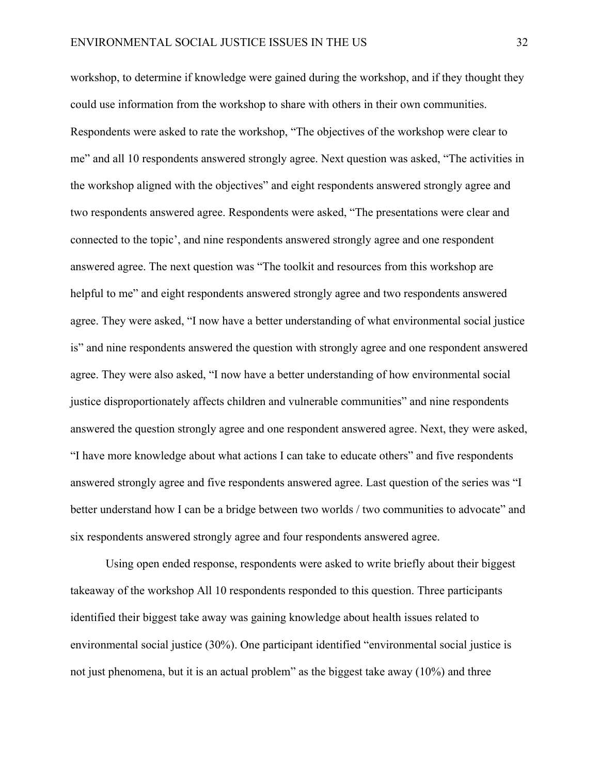workshop, to determine if knowledge were gained during the workshop, and if they thought they could use information from the workshop to share with others in their own communities. Respondents were asked to rate the workshop, "The objectives of the workshop were clear to me" and all 10 respondents answered strongly agree. Next question was asked, "The activities in the workshop aligned with the objectives" and eight respondents answered strongly agree and two respondents answered agree. Respondents were asked, "The presentations were clear and connected to the topic', and nine respondents answered strongly agree and one respondent answered agree. The next question was "The toolkit and resources from this workshop are helpful to me" and eight respondents answered strongly agree and two respondents answered agree. They were asked, "I now have a better understanding of what environmental social justice is" and nine respondents answered the question with strongly agree and one respondent answered agree. They were also asked, "I now have a better understanding of how environmental social justice disproportionately affects children and vulnerable communities" and nine respondents answered the question strongly agree and one respondent answered agree. Next, they were asked, "I have more knowledge about what actions I can take to educate others" and five respondents answered strongly agree and five respondents answered agree. Last question of the series was "I better understand how I can be a bridge between two worlds / two communities to advocate" and six respondents answered strongly agree and four respondents answered agree.

Using open ended response, respondents were asked to write briefly about their biggest takeaway of the workshop All 10 respondents responded to this question. Three participants identified their biggest take away was gaining knowledge about health issues related to environmental social justice (30%). One participant identified "environmental social justice is not just phenomena, but it is an actual problem" as the biggest take away (10%) and three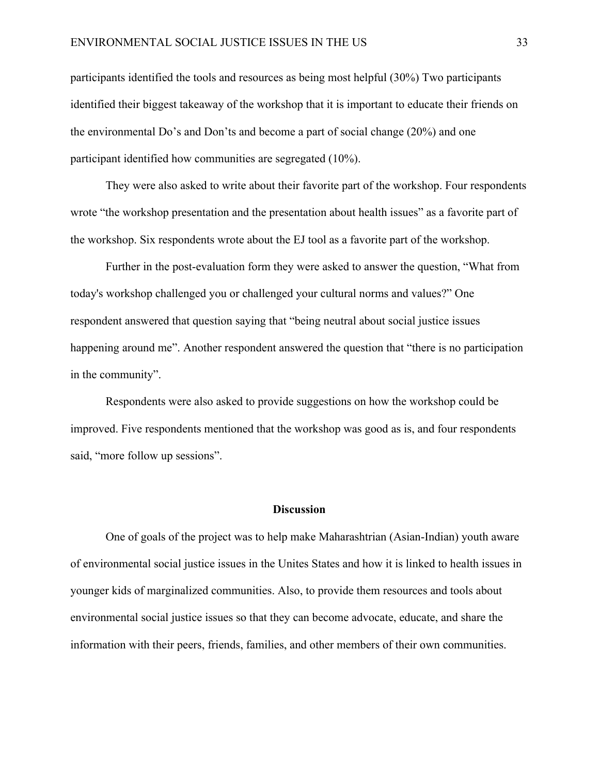participants identified the tools and resources as being most helpful (30%) Two participants identified their biggest takeaway of the workshop that it is important to educate their friends on the environmental Do's and Don'ts and become a part of social change (20%) and one participant identified how communities are segregated (10%).

They were also asked to write about their favorite part of the workshop. Four respondents wrote "the workshop presentation and the presentation about health issues" as a favorite part of the workshop. Six respondents wrote about the EJ tool as a favorite part of the workshop.

Further in the post-evaluation form they were asked to answer the question, "What from today's workshop challenged you or challenged your cultural norms and values?" One respondent answered that question saying that "being neutral about social justice issues happening around me". Another respondent answered the question that "there is no participation in the community".

Respondents were also asked to provide suggestions on how the workshop could be improved. Five respondents mentioned that the workshop was good as is, and four respondents said, "more follow up sessions".

#### **Discussion**

 One of goals of the project was to help make Maharashtrian (Asian-Indian) youth aware of environmental social justice issues in the Unites States and how it is linked to health issues in younger kids of marginalized communities. Also, to provide them resources and tools about environmental social justice issues so that they can become advocate, educate, and share the information with their peers, friends, families, and other members of their own communities.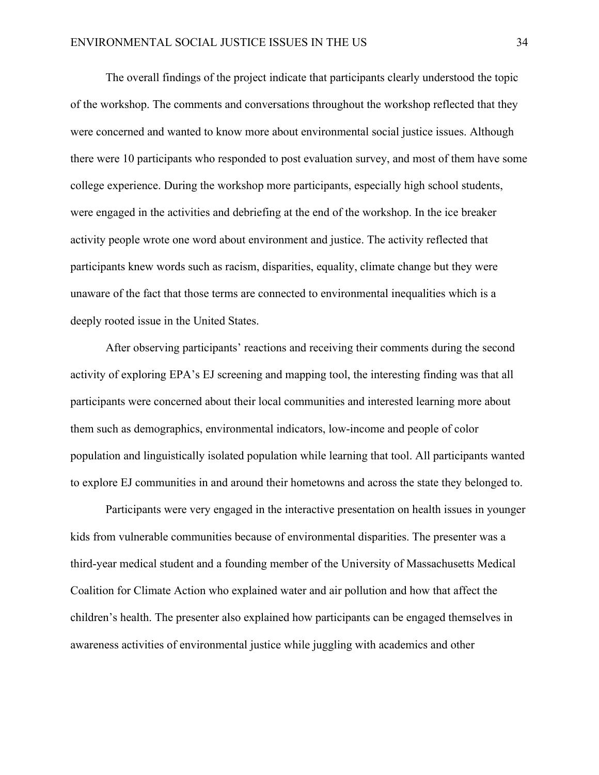The overall findings of the project indicate that participants clearly understood the topic of the workshop. The comments and conversations throughout the workshop reflected that they were concerned and wanted to know more about environmental social justice issues. Although there were 10 participants who responded to post evaluation survey, and most of them have some college experience. During the workshop more participants, especially high school students, were engaged in the activities and debriefing at the end of the workshop. In the ice breaker activity people wrote one word about environment and justice. The activity reflected that participants knew words such as racism, disparities, equality, climate change but they were unaware of the fact that those terms are connected to environmental inequalities which is a deeply rooted issue in the United States.

After observing participants' reactions and receiving their comments during the second activity of exploring EPA's EJ screening and mapping tool, the interesting finding was that all participants were concerned about their local communities and interested learning more about them such as demographics, environmental indicators, low-income and people of color population and linguistically isolated population while learning that tool. All participants wanted to explore EJ communities in and around their hometowns and across the state they belonged to.

Participants were very engaged in the interactive presentation on health issues in younger kids from vulnerable communities because of environmental disparities. The presenter was a third-year medical student and a founding member of the University of Massachusetts Medical Coalition for Climate Action who explained water and air pollution and how that affect the children's health. The presenter also explained how participants can be engaged themselves in awareness activities of environmental justice while juggling with academics and other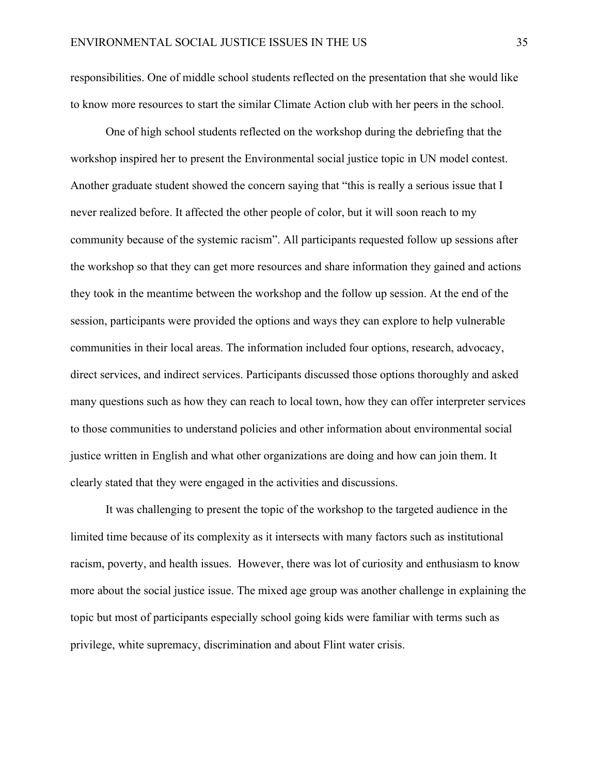responsibilities. One of middle school students reflected on the presentation that she would like to know more resources to start the similar Climate Action club with her peers in the school.

One of high school students reflected on the workshop during the debriefing that the workshop inspired her to present the Environmental social justice topic in UN model contest. Another graduate student showed the concern saying that "this is really a serious issue that I never realized before. It affected the other people of color, but it will soon reach to my community because of the systemic racism". All participants requested follow up sessions after the workshop so that they can get more resources and share information they gained and actions they took in the meantime between the workshop and the follow up session. At the end of the session, participants were provided the options and ways they can explore to help vulnerable communities in their local areas. The information included four options, research, advocacy, direct services, and indirect services. Participants discussed those options thoroughly and asked many questions such as how they can reach to local town, how they can offer interpreter services to those communities to understand policies and other information about environmental social justice written in English and what other organizations are doing and how can join them. It clearly stated that they were engaged in the activities and discussions.

It was challenging to present the topic of the workshop to the targeted audience in the limited time because of its complexity as it intersects with many factors such as institutional racism, poverty, and health issues. However, there was lot of curiosity and enthusiasm to know more about the social justice issue. The mixed age group was another challenge in explaining the topic but most of participants especially school going kids were familiar with terms such as privilege, white supremacy, discrimination and about Flint water crisis.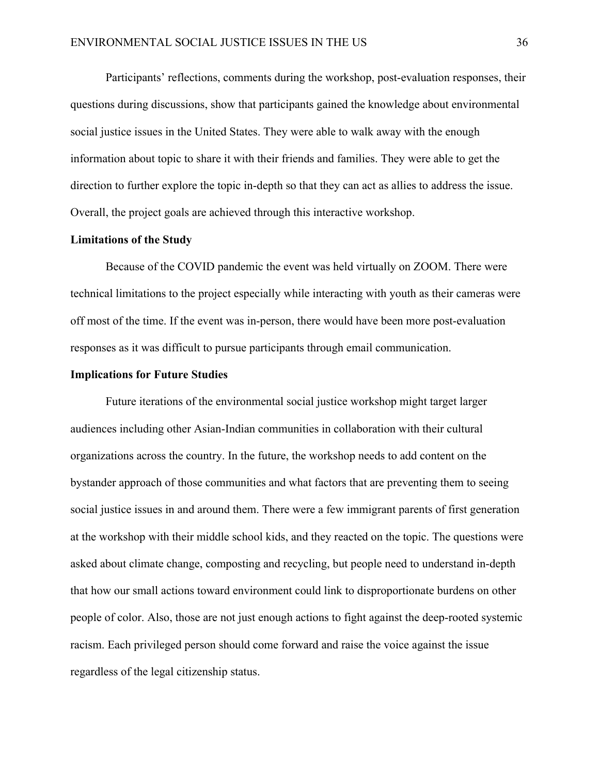Participants' reflections, comments during the workshop, post-evaluation responses, their questions during discussions, show that participants gained the knowledge about environmental social justice issues in the United States. They were able to walk away with the enough information about topic to share it with their friends and families. They were able to get the direction to further explore the topic in-depth so that they can act as allies to address the issue. Overall, the project goals are achieved through this interactive workshop.

## **Limitations of the Study**

 Because of the COVID pandemic the event was held virtually on ZOOM. There were technical limitations to the project especially while interacting with youth as their cameras were off most of the time. If the event was in-person, there would have been more post-evaluation responses as it was difficult to pursue participants through email communication.

#### **Implications for Future Studies**

 Future iterations of the environmental social justice workshop might target larger audiences including other Asian-Indian communities in collaboration with their cultural organizations across the country. In the future, the workshop needs to add content on the bystander approach of those communities and what factors that are preventing them to seeing social justice issues in and around them. There were a few immigrant parents of first generation at the workshop with their middle school kids, and they reacted on the topic. The questions were asked about climate change, composting and recycling, but people need to understand in-depth that how our small actions toward environment could link to disproportionate burdens on other people of color. Also, those are not just enough actions to fight against the deep-rooted systemic racism. Each privileged person should come forward and raise the voice against the issue regardless of the legal citizenship status.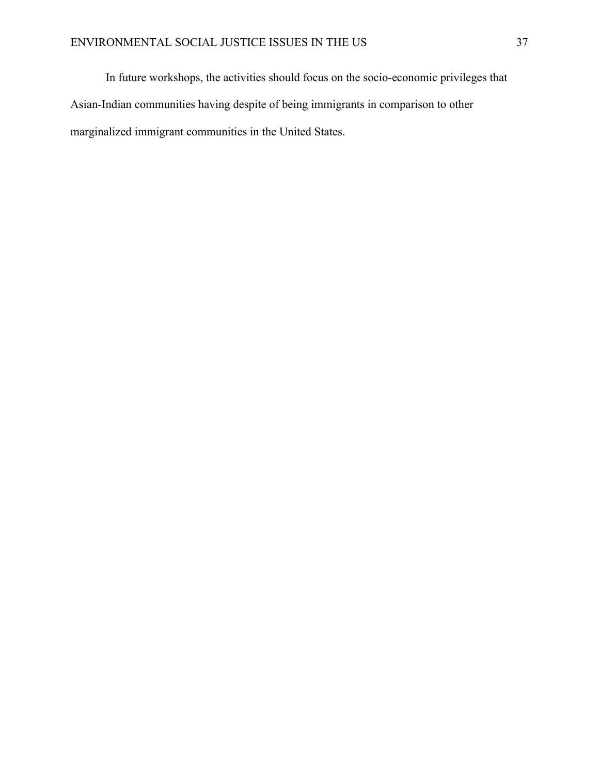In future workshops, the activities should focus on the socio-economic privileges that Asian-Indian communities having despite of being immigrants in comparison to other marginalized immigrant communities in the United States.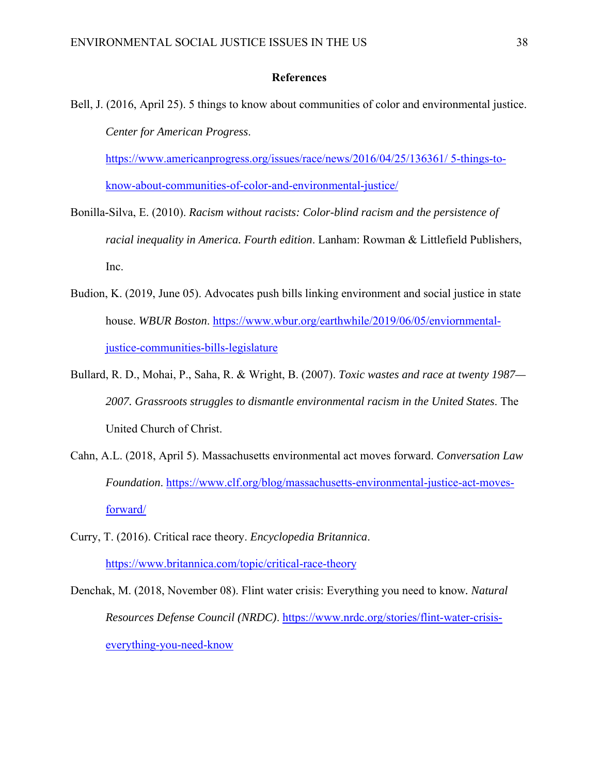#### **References**

Bell, J. (2016, April 25). 5 things to know about communities of color and environmental justice. *Center for American Progress*. https://www.americanprogress.org/issues/race/news/2016/04/25/136361/ 5-things-to-

know-about-communities-of-color-and-environmental-justice/

- Bonilla-Silva, E. (2010). *Racism without racists: Color-blind racism and the persistence of racial inequality in America. Fourth edition*. Lanham: Rowman & Littlefield Publishers, Inc.
- Budion, K. (2019, June 05). Advocates push bills linking environment and social justice in state house. *WBUR Boston*. https://www.wbur.org/earthwhile/2019/06/05/enviornmentaljustice-communities-bills-legislature
- Bullard, R. D., Mohai, P., Saha, R. & Wright, B. (2007). *Toxic wastes and race at twenty 1987— 2007. Grassroots struggles to dismantle environmental racism in the United States*. The United Church of Christ.
- Cahn, A.L. (2018, April 5). Massachusetts environmental act moves forward. *Conversation Law Foundation*. https://www.clf.org/blog/massachusetts-environmental-justice-act-movesforward/
- Curry, T. (2016). Critical race theory. *Encyclopedia Britannica*. https://www.britannica.com/topic/critical-race-theory
- Denchak, M. (2018, November 08). Flint water crisis: Everything you need to know*. Natural Resources Defense Council (NRDC)*. https://www.nrdc.org/stories/flint-water-crisiseverything-you-need-know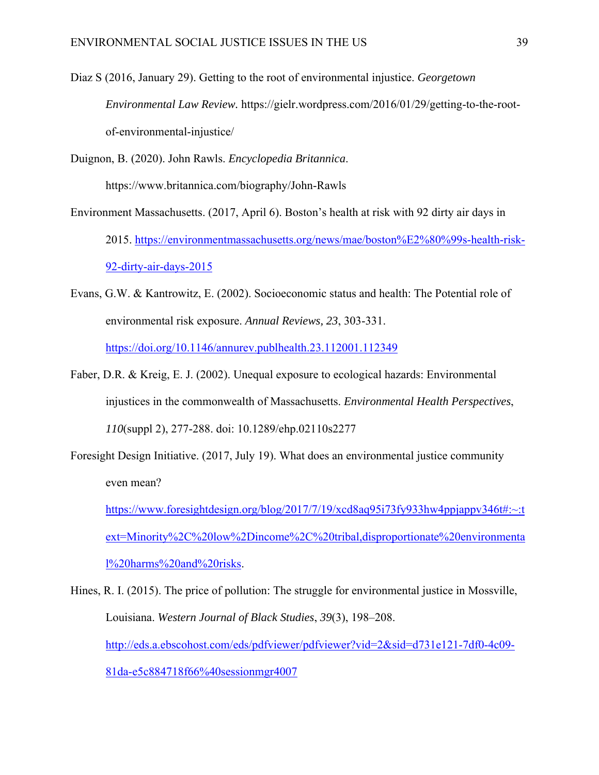Diaz S (2016, January 29). Getting to the root of environmental injustice. *Georgetown Environmental Law Review.* https://gielr.wordpress.com/2016/01/29/getting-to-the-rootof-environmental-injustice/

Duignon, B. (2020). John Rawls. *Encyclopedia Britannica*. https://www.britannica.com/biography/John-Rawls

- Environment Massachusetts. (2017, April 6). Boston's health at risk with 92 dirty air days in 2015. https://environmentmassachusetts.org/news/mae/boston%E2%80%99s-health-risk-92-dirty-air-days-2015
- Evans, G.W. & Kantrowitz, E. (2002). Socioeconomic status and health: The Potential role of environmental risk exposure. *Annual Reviews, 23*, 303-331. https://doi.org/10.1146/annurev.publhealth.23.112001.112349
- Faber, D.R. & Kreig, E. J. (2002). Unequal exposure to ecological hazards: Environmental injustices in the commonwealth of Massachusetts. *Environmental Health Perspectives*, *110*(suppl 2), 277-288. doi: 10.1289/ehp.02110s2277
- Foresight Design Initiative. (2017, July 19). What does an environmental justice community even mean?

https://www.foresightdesign.org/blog/2017/7/19/xcd8aq95i73fy933hw4ppjappv346t#:~:t ext=Minority%2C%20low%2Dincome%2C%20tribal,disproportionate%20environmenta l%20harms%20and%20risks.

Hines, R. I. (2015). The price of pollution: The struggle for environmental justice in Mossville, Louisiana. *Western Journal of Black Studies*, *39*(3), 198–208. http://eds.a.ebscohost.com/eds/pdfviewer/pdfviewer?vid=2&sid=d731e121-7df0-4c09- 81da-e5c884718f66%40sessionmgr4007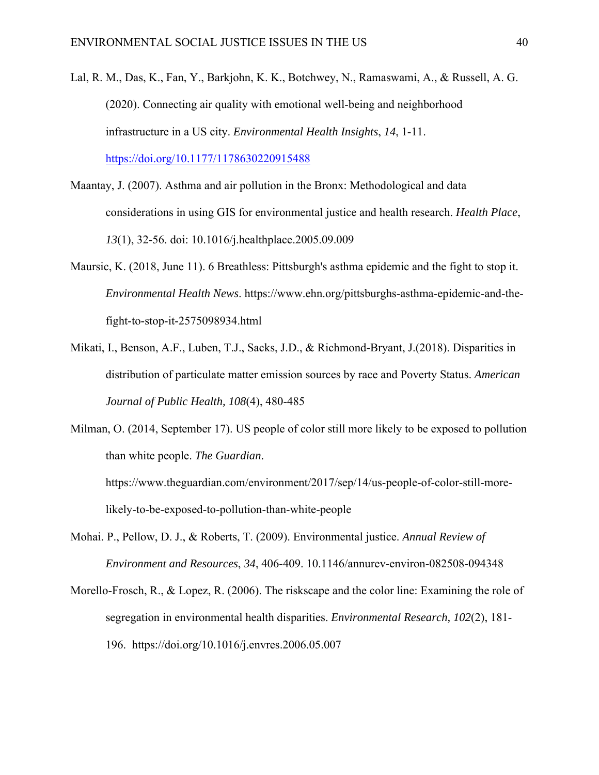- Lal, R. M., Das, K., Fan, Y., Barkjohn, K. K., Botchwey, N., Ramaswami, A., & Russell, A. G. (2020). Connecting air quality with emotional well-being and neighborhood infrastructure in a US city. *Environmental Health Insights*, *14*, 1-11. https://doi.org/10.1177/1178630220915488
- Maantay, J. (2007). Asthma and air pollution in the Bronx: Methodological and data considerations in using GIS for environmental justice and health research. *Health Place*, *13*(1), 32-56. doi: 10.1016/j.healthplace.2005.09.009
- Maursic, K. (2018, June 11). 6 Breathless: Pittsburgh's asthma epidemic and the fight to stop it. *Environmental Health News*. https://www.ehn.org/pittsburghs-asthma-epidemic-and-thefight-to-stop-it-2575098934.html
- Mikati, I., Benson, A.F., Luben, T.J., Sacks, J.D., & Richmond-Bryant, J.(2018). Disparities in distribution of particulate matter emission sources by race and Poverty Status. *American Journal of Public Health, 108*(4), 480-485
- Milman, O. (2014, September 17). US people of color still more likely to be exposed to pollution than white people. *The Guardian*.

https://www.theguardian.com/environment/2017/sep/14/us-people-of-color-still-morelikely-to-be-exposed-to-pollution-than-white-people

- Mohai. P., Pellow, D. J., & Roberts, T. (2009). Environmental justice. *Annual Review of Environment and Resources*, *34*, 406-409. 10.1146/annurev-environ-082508-094348
- Morello-Frosch, R., & Lopez, R. (2006). The riskscape and the color line: Examining the role of segregation in environmental health disparities. *Environmental Research, 102*(2), 181- 196. https://doi.org/10.1016/j.envres.2006.05.007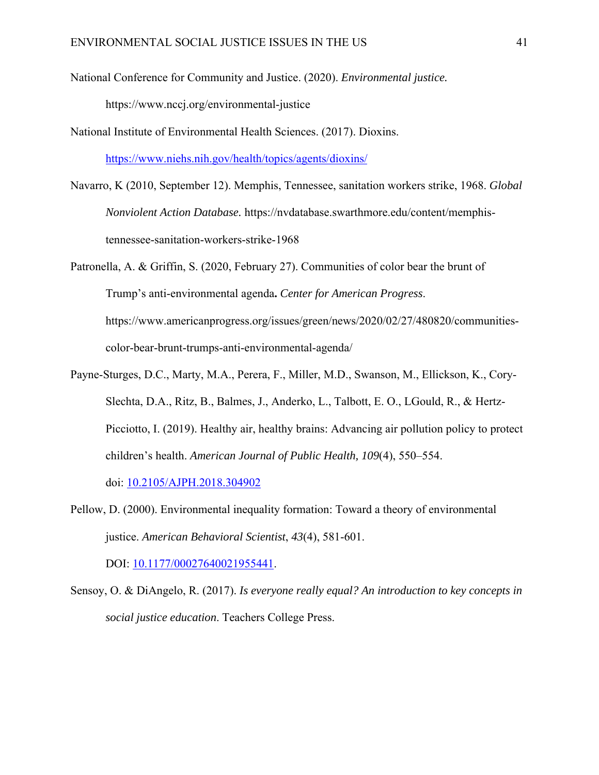National Conference for Community and Justice. (2020). *Environmental justice.*

https://www.nccj.org/environmental-justice

National Institute of Environmental Health Sciences. (2017). Dioxins.

https://www.niehs.nih.gov/health/topics/agents/dioxins/

- Navarro, K (2010, September 12). Memphis, Tennessee, sanitation workers strike, 1968. *Global Nonviolent Action Database.* https://nvdatabase.swarthmore.edu/content/memphistennessee-sanitation-workers-strike-1968
- Patronella, A. & Griffin, S. (2020, February 27). Communities of color bear the brunt of Trump's anti-environmental agenda**.** *Center for American Progress*. https://www.americanprogress.org/issues/green/news/2020/02/27/480820/communitiescolor-bear-brunt-trumps-anti-environmental-agenda/
- Payne-Sturges, D.C., Marty, M.A., Perera, F., Miller, M.D., Swanson, M., Ellickson, K., Cory-Slechta, D.A., Ritz, B., Balmes, J., Anderko, L., Talbott, E. O., LGould, R., & Hertz-Picciotto, I. (2019). Healthy air, healthy brains: Advancing air pollution policy to protect children's health. *American Journal of Public Health, 109*(4), 550–554.

doi: 10.2105/AJPH.2018.304902

Pellow, D. (2000). Environmental inequality formation: Toward a theory of environmental justice. *American Behavioral Scientist*, *43*(4), 581-601.

DOI: 10.1177/00027640021955441.

Sensoy, O. & DiAngelo, R. (2017). *Is everyone really equal? An introduction to key concepts in social justice education*. Teachers College Press.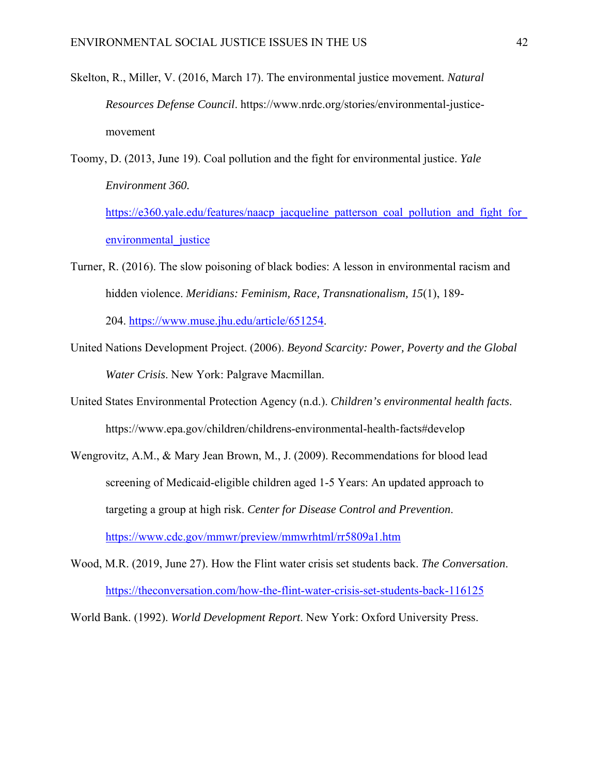- Skelton, R., Miller, V. (2016, March 17). The environmental justice movement*. Natural Resources Defense Council*. https://www.nrdc.org/stories/environmental-justicemovement
- Toomy, D. (2013, June 19). Coal pollution and the fight for environmental justice. *Yale Environment 360.*

https://e360.yale.edu/features/naacp\_jacqueline\_patterson\_coal\_pollution\_and\_fight\_for environmental justice

- Turner, R. (2016). The slow poisoning of black bodies: A lesson in environmental racism and hidden violence. *Meridians: Feminism, Race, Transnationalism, 15*(1), 189- 204. https://www.muse.jhu.edu/article/651254.
- United Nations Development Project. (2006). *Beyond Scarcity: Power, Poverty and the Global Water Crisis*. New York: Palgrave Macmillan.
- United States Environmental Protection Agency (n.d.). *Children's environmental health facts*. https://www.epa.gov/children/childrens-environmental-health-facts#develop
- Wengrovitz, A.M., & Mary Jean Brown, M., J. (2009). Recommendations for blood lead screening of Medicaid-eligible children aged 1-5 Years: An updated approach to targeting a group at high risk. *Center for Disease Control and Prevention*. https://www.cdc.gov/mmwr/preview/mmwrhtml/rr5809a1.htm
- Wood, M.R. (2019, June 27). How the Flint water crisis set students back. *The Conversation*. https://theconversation.com/how-the-flint-water-crisis-set-students-back-116125

World Bank. (1992). *World Development Report*. New York: Oxford University Press.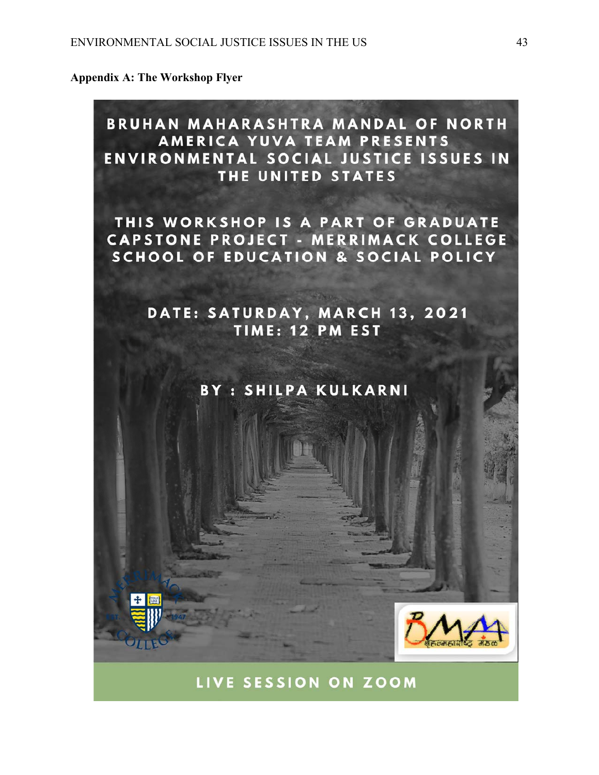**Appendix A: The Workshop Flyer** 



LIVE SESSION ON ZOOM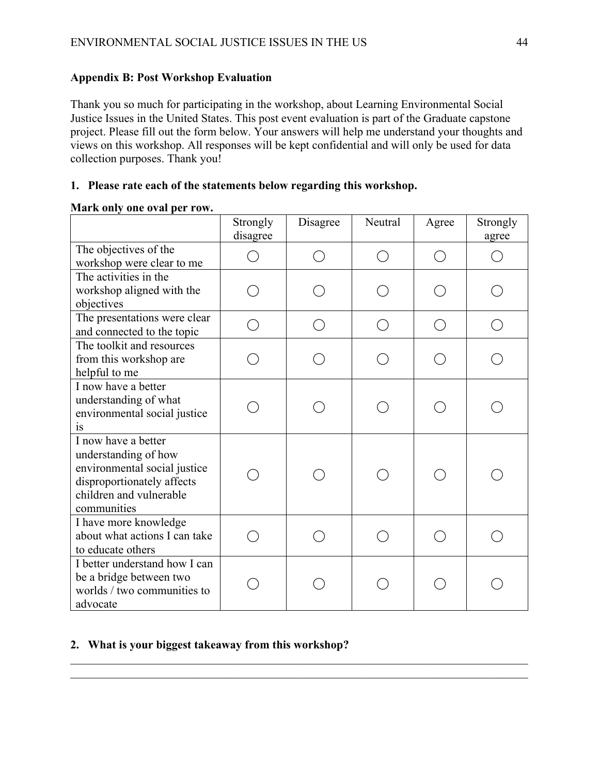# **Appendix B: Post Workshop Evaluation**

Thank you so much for participating in the workshop, about Learning Environmental Social Justice Issues in the United States. This post event evaluation is part of the Graduate capstone project. Please fill out the form below. Your answers will help me understand your thoughts and views on this workshop. All responses will be kept confidential and will only be used for data collection purposes. Thank you!

# **1. Please rate each of the statements below regarding this workshop.**

## **Mark only one oval per row.**

|                                                                                                                                                     | Strongly<br>disagree     | Disagree | Neutral                                       | Agree | Strongly<br>agree |
|-----------------------------------------------------------------------------------------------------------------------------------------------------|--------------------------|----------|-----------------------------------------------|-------|-------------------|
| The objectives of the<br>workshop were clear to me                                                                                                  |                          |          | $\left( \begin{array}{c} \end{array} \right)$ |       |                   |
| The activities in the<br>workshop aligned with the<br>objectives                                                                                    |                          |          |                                               |       |                   |
| The presentations were clear<br>and connected to the topic                                                                                          | $\overline{\phantom{a}}$ |          | $($ )                                         |       |                   |
| The toolkit and resources<br>from this workshop are<br>helpful to me                                                                                |                          |          |                                               |       |                   |
| I now have a better<br>understanding of what<br>environmental social justice<br><i>is</i>                                                           |                          |          |                                               |       |                   |
| I now have a better<br>understanding of how<br>environmental social justice<br>disproportionately affects<br>children and vulnerable<br>communities |                          |          |                                               |       |                   |
| I have more knowledge<br>about what actions I can take<br>to educate others                                                                         |                          |          |                                               |       |                   |
| I better understand how I can<br>be a bridge between two<br>worlds / two communities to<br>advocate                                                 |                          |          |                                               |       |                   |

 $\mathcal{L}_\mathcal{L} = \mathcal{L}_\mathcal{L} = \mathcal{L}_\mathcal{L} = \mathcal{L}_\mathcal{L} = \mathcal{L}_\mathcal{L} = \mathcal{L}_\mathcal{L} = \mathcal{L}_\mathcal{L} = \mathcal{L}_\mathcal{L} = \mathcal{L}_\mathcal{L} = \mathcal{L}_\mathcal{L} = \mathcal{L}_\mathcal{L} = \mathcal{L}_\mathcal{L} = \mathcal{L}_\mathcal{L} = \mathcal{L}_\mathcal{L} = \mathcal{L}_\mathcal{L} = \mathcal{L}_\mathcal{L} = \mathcal{L}_\mathcal{L}$ 

# **2. What is your biggest takeaway from this workshop?**